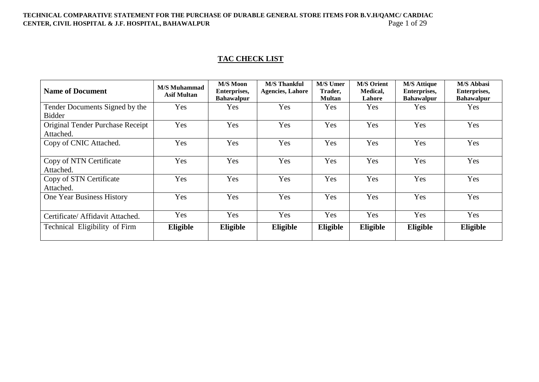## TECHNICAL COMPARATIVE STATEMENT FOR THE PURCHASE OF DURABLE GENERAL STORE ITEMS FOR B.V.H/QAMC/ CARDIAC<br>CENTER, CIVIL HOSPITAL & J.F. HOSPITAL, BAHAWALPUR<br>Page 1 of 29 **CENTER, CIVIL HOSPITAL & J.F. HOSPITAL, BAHAWALPUR**

# **TAC CHECK LIST**

| <b>Name of Document</b>                       | <b>M/S Muhammad</b><br><b>Asif Multan</b> | M/S Moon<br>Enterprises,<br><b>Bahawalpur</b> | <b>M/S Thankful</b><br><b>Agencies, Lahore</b> | <b>M/S Umer</b><br>Trader,<br><b>Multan</b> | <b>M/S Orient</b><br>Medical,<br>Lahore | <b>M/S Attique</b><br>Enterprises,<br><b>Bahawalpur</b> | <b>M/S Abbasi</b><br>Enterprises,<br><b>Bahawalpur</b> |
|-----------------------------------------------|-------------------------------------------|-----------------------------------------------|------------------------------------------------|---------------------------------------------|-----------------------------------------|---------------------------------------------------------|--------------------------------------------------------|
| Tender Documents Signed by the                | Yes                                       | <b>Yes</b>                                    | Yes                                            | Yes                                         | Yes                                     | <b>Yes</b>                                              | Yes                                                    |
| <b>Bidder</b>                                 |                                           |                                               |                                                |                                             |                                         |                                                         |                                                        |
| Original Tender Purchase Receipt<br>Attached. | Yes                                       | Yes                                           | Yes                                            | Yes                                         | Yes                                     | Yes                                                     | Yes                                                    |
| Copy of CNIC Attached.                        | Yes                                       | Yes                                           | Yes                                            | Yes                                         | Yes                                     | Yes                                                     | Yes                                                    |
| Copy of NTN Certificate<br>Attached.          | Yes                                       | Yes                                           | Yes                                            | Yes                                         | Yes                                     | Yes                                                     | Yes                                                    |
| Copy of STN Certificate<br>Attached.          | Yes                                       | Yes                                           | Yes                                            | Yes                                         | Yes                                     | Yes                                                     | Yes                                                    |
| One Year Business History                     | Yes                                       | Yes                                           | Yes                                            | Yes                                         | Yes                                     | Yes                                                     | Yes                                                    |
| Certificate/ Affidavit Attached.              | Yes                                       | Yes                                           | Yes                                            | Yes                                         | Yes                                     | Yes                                                     | Yes                                                    |
| Technical Eligibility of Firm                 | Eligible                                  | Eligible                                      | Eligible                                       | Eligible                                    | Eligible                                | Eligible                                                | Eligible                                               |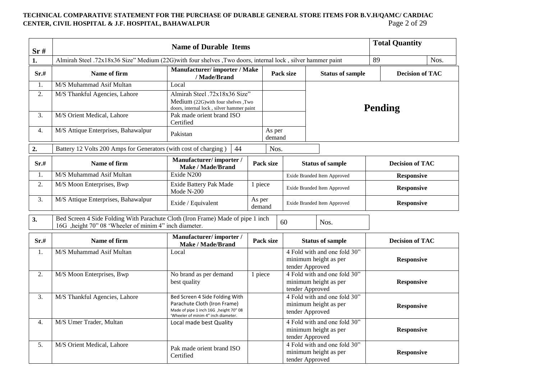## **TECHNICAL COMPARATIVE STATEMENT FOR THE PURCHASE OF DURABLE GENERAL STORE ITEMS FOR B.V.H/QAMC/ CARDIAC**<br>CENTER, CIVIL HOSPITAL & J.F. HOSPITAL, BAHAWALPUR<br>Page 2 of 29 **CENTER, CIVIL HOSPITAL & J.F. HOSPITAL, BAHAWALPUR**

| Sr#              | <b>Name of Durable Items</b>                                                                                                              |                                                                                                                                                  |                  |                             |                             |                                                                          |                        | <b>Total Quantity</b>  |      |
|------------------|-------------------------------------------------------------------------------------------------------------------------------------------|--------------------------------------------------------------------------------------------------------------------------------------------------|------------------|-----------------------------|-----------------------------|--------------------------------------------------------------------------|------------------------|------------------------|------|
| 1.               | Almirah Steel .72x18x36 Size" Medium (22G) with four shelves , Two doors, internal lock, silver hammer paint                              |                                                                                                                                                  |                  |                             |                             |                                                                          | 89                     |                        | Nos. |
| Sr.#             | Name of firm                                                                                                                              | <b>Manufacturer/importer/Make</b><br>/ Made/Brand                                                                                                |                  | Pack size                   | <b>Status of sample</b>     |                                                                          | <b>Decision of TAC</b> |                        |      |
| 1.               | M/S Muhammad Asif Multan                                                                                                                  | Local                                                                                                                                            |                  |                             |                             |                                                                          |                        |                        |      |
| 2.               | M/S Thankful Agencies, Lahore                                                                                                             | Almirah Steel .72x18x36 Size"<br>Medium (22G) with four shelves , Two<br>doors, internal lock, silver hammer paint                               |                  |                             |                             | <b>Pending</b>                                                           |                        |                        |      |
| 3.               | M/S Orient Medical, Lahore                                                                                                                | Pak made orient brand ISO<br>Certified                                                                                                           |                  |                             |                             |                                                                          |                        |                        |      |
| $\overline{4}$ . | M/S Attique Enterprises, Bahawalpur                                                                                                       | Pakistan                                                                                                                                         |                  | As per<br>demand            |                             |                                                                          |                        |                        |      |
| 2.               | Battery 12 Volts 200 Amps for Generators (with cost of charging)                                                                          | 44                                                                                                                                               |                  | Nos.                        |                             |                                                                          |                        |                        |      |
| Sr.#             | Name of firm                                                                                                                              | Manufacturer/importer/<br><b>Make / Made/Brand</b>                                                                                               |                  | Pack size                   |                             | <b>Status of sample</b>                                                  |                        | <b>Decision of TAC</b> |      |
| 1.               | M/S Muhammad Asif Multan                                                                                                                  | Exide N200                                                                                                                                       |                  |                             | Exide Branded Item Approved |                                                                          |                        | <b>Responsive</b>      |      |
| 2.               | M/S Moon Enterprises, Bwp                                                                                                                 | Exide Battery Pak Made<br>Mode $N-200$                                                                                                           | 1 piece          | Exide Branded Item Approved |                             |                                                                          | <b>Responsive</b>      |                        |      |
| $\overline{3}$ . | M/S Attique Enterprises, Bahawalpur                                                                                                       | Exide / Equivalent                                                                                                                               | As per<br>demand |                             |                             | Exide Branded Item Approved                                              |                        | <b>Responsive</b>      |      |
| 3.               | Bed Screen 4 Side Folding With Parachute Cloth (Iron Frame) Made of pipe 1 inch<br>16G ,height 70" 08 'Wheeler of minim 4" inch diameter. |                                                                                                                                                  |                  |                             | 60                          | Nos.                                                                     |                        |                        |      |
| Sr.#             | Name of firm                                                                                                                              | Manufacturer/importer/<br><b>Make / Made/Brand</b>                                                                                               |                  | Pack size                   |                             | <b>Status of sample</b>                                                  |                        | <b>Decision of TAC</b> |      |
| 1.               | M/S Muhammad Asif Multan                                                                                                                  | Local                                                                                                                                            |                  |                             |                             | 4 Fold with and one fold 30"<br>minimum height as per<br>tender Approved |                        | <b>Responsive</b>      |      |
| 2.               | M/S Moon Enterprises, Bwp                                                                                                                 | No brand as per demand<br>best quality                                                                                                           | 1 piece          |                             |                             | 4 Fold with and one fold 30"<br>minimum height as per<br>tender Approved |                        | <b>Responsive</b>      |      |
| 3.               | M/S Thankful Agencies, Lahore                                                                                                             | Bed Screen 4 Side Folding With<br>Parachute Cloth (Iron Frame)<br>Made of pipe 1 inch 16G , height 70" 08<br>'Wheeler of minim 4" inch diameter. |                  |                             |                             | 4 Fold with and one fold 30"<br>minimum height as per<br>tender Approved |                        | <b>Responsive</b>      |      |
| $\overline{4}$ . | M/S Umer Trader, Multan                                                                                                                   | Local made best Quality                                                                                                                          |                  |                             |                             | 4 Fold with and one fold 30"<br>minimum height as per<br>tender Approved |                        | <b>Responsive</b>      |      |
| 5.               | M/S Orient Medical, Lahore                                                                                                                | Pak made orient brand ISO<br>Certified                                                                                                           |                  |                             |                             | 4 Fold with and one fold 30"<br>minimum height as per<br>tender Approved |                        | <b>Responsive</b>      |      |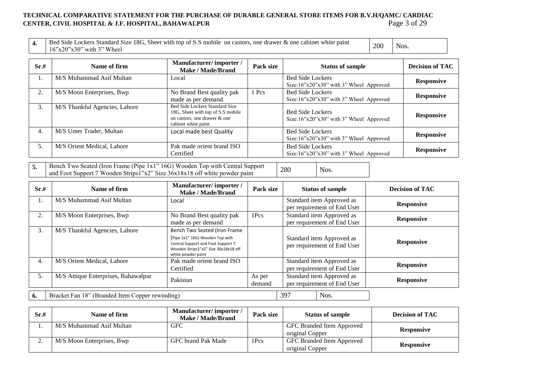## TECHNICAL COMPARATIVE STATEMENT FOR THE PURCHASE OF DURABLE GENERAL STORE ITEMS FOR B.V.H/QAMC/ CARDIAC<br>CENTER, CIVIL HOSPITAL & J.F. HOSPITAL, BAHAWALPUR **CENTER, CIVIL HOSPITAL & J.F. HOSPITAL, BAHAWALPUR**

| Bed<br>d Side Lockers Standard Size 18G, Sheet with top of S.S mobile on castors,<br>s, one drawer & one cabinet white paint | 200 |      |
|------------------------------------------------------------------------------------------------------------------------------|-----|------|
| $\cdot$ $\cdot$ $\cdot$ Wheel<br>$16"x20"x30"$ with 3                                                                        |     | NOS. |

| Sr.# | Name of firm                  | Manufacturer/importer/<br>Make / Made/Brand                                                                                | Pack size | <b>Status of sample</b>                                                        | <b>Decision of TAC</b> |
|------|-------------------------------|----------------------------------------------------------------------------------------------------------------------------|-----------|--------------------------------------------------------------------------------|------------------------|
|      | M/S Muhammad Asif Multan      | Local                                                                                                                      |           | <b>Bed Side Lockers</b><br>Size:16"x20"x30" with 3" Wheel Approved             | <b>Responsive</b>      |
| 2.   | M/S Moon Enterprises, Bwp     | No Brand Best quality pak<br>made as per demand                                                                            | 1 Pcs     | <b>Bed Side Lockers</b><br>Size:16"x20"x30" with 3" Wheel Approved             | <b>Responsive</b>      |
| 3.   | M/S Thankful Agencies, Lahore | Bed Side Lockers Standard Size<br>18G, Sheet with top of S.S mobile<br>on castors, one drawer & one<br>cabinet white paint |           | <b>Bed Side Lockers</b><br>Size:16"x20"x30" with 3" Wheel Approved             | <b>Responsive</b>      |
| 4.   | M/S Umer Trader, Multan       | Local made best Quality                                                                                                    |           | <b>Bed Side Lockers</b><br>Size: $16$ "x $20$ "x $30$ " with 3" Wheel Approved | <b>Responsive</b>      |
| 5.   | M/S Orient Medical, Lahore    | Pak made orient brand ISO<br>Certified                                                                                     |           | <b>Bed Side Lockers</b><br>Size:16"x20"x30" with 3" Wheel Approved             | <b>Responsive</b>      |

**5.** Bench Two Seated (Iron Frame (Pipe 1x1" 16G) Wooden Top with Central Support Bench Two Seated (fron Frame (Pipe 1x1<sup>2</sup> 16G) Wooden Top with Central Support and Foot Support 7 Wooden Strips1"x2" Size 36x18x18 off white powder paint 280 Nos.

| Sr.# | Name of firm                                    | Manufacturer/importer/<br>Make / Made/Brand                                                                                                                         | Pack size        |     | <b>Status of sample</b>                                  | <b>Decision of TAC</b> |
|------|-------------------------------------------------|---------------------------------------------------------------------------------------------------------------------------------------------------------------------|------------------|-----|----------------------------------------------------------|------------------------|
| 1.   | M/S Muhammad Asif Multan                        | Local                                                                                                                                                               |                  |     | Standard item Approved as<br>per requirement of End User | <b>Responsive</b>      |
| 2.   | M/S Moon Enterprises, Bwp                       | No Brand Best quality pak<br>made as per demand                                                                                                                     | 1Pcs             |     | Standard item Approved as<br>per requirement of End User | <b>Responsive</b>      |
| 3.   | M/S Thankful Agencies, Lahore                   | Bench Two Seated (Iron Frame<br>(Pipe 1x1" 16G) Wooden Top with<br>Central Support and Foot Support 7<br>Wooden Strips1"x2" Size 36x18x18 off<br>white powder paint |                  |     | Standard item Approved as<br>per requirement of End User | <b>Responsive</b>      |
| 4.   | M/S Orient Medical, Lahore                      | Pak made orient brand ISO<br>Certified                                                                                                                              |                  |     | Standard item Approved as<br>per requirement of End User | <b>Responsive</b>      |
| 5.   | M/S Attique Enterprises, Bahawalpur             | Pakistan                                                                                                                                                            | As per<br>demand |     | Standard item Approved as<br>per requirement of End User | <b>Responsive</b>      |
| 6.   | Bracket Fan 18" (Branded Item Copper rewinding) |                                                                                                                                                                     |                  | 397 | Nos.                                                     |                        |

| Sr.# | Name of firm              | Manufacturer/importer/<br>Make / Made/Brand | Pack size | <b>Status of sample</b>                      | <b>Decision of TAC</b> |
|------|---------------------------|---------------------------------------------|-----------|----------------------------------------------|------------------------|
|      | M/S Muhammad Asif Multan  | <b>GFC</b>                                  |           | GFC Branded Item Approved<br>original Copper | <b>Responsive</b>      |
|      | M/S Moon Enterprises, Bwp | GFC brand Pak Made                          | 1Pcs      | GFC Branded Item Approved<br>original Copper | <b>Responsive</b>      |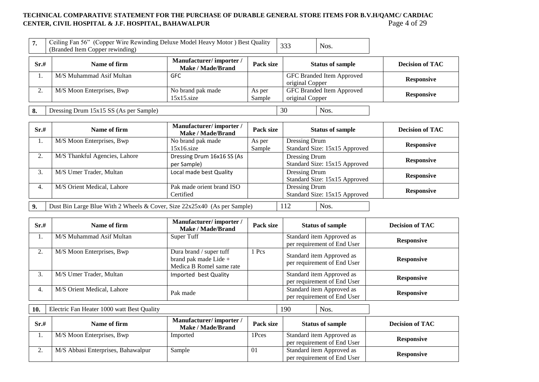#### **TECHNICAL COMPARATIVE STATEMENT FOR THE PURCHASE OF DURABLE GENERAL STORE ITEMS FOR B.V.H/QAMC/ CARDIAC CENTER, CIVIL HOSPITAL & J.F. HOSPITAL, BAHAWALPUR** Page 4 of 29

| 7.   | Ceiling Fan 56" (Copper Wire Rewinding Deluxe Model Heavy Motor) Best Quality<br>(Branded Item Copper rewinding) |                                             |                  | 333             | Nos.                      |                        |
|------|------------------------------------------------------------------------------------------------------------------|---------------------------------------------|------------------|-----------------|---------------------------|------------------------|
| Sr.# | Name of firm                                                                                                     | Manufacturer/importer/<br>Make / Made/Brand | Pack size        |                 | <b>Status of sample</b>   | <b>Decision of TAC</b> |
|      | M/S Muhammad Asif Multan                                                                                         | <b>GFC</b>                                  |                  | original Copper | GFC Branded Item Approved | <b>Responsive</b>      |
| ◠    | M/S Moon Enterprises, Bwp                                                                                        | No brand pak made<br>$15x15$ .size          | As per<br>Sample | original Copper | GFC Branded Item Approved | <b>Responsive</b>      |
| 8.   | Dressing Drum 15x15 SS (As per Sample)                                                                           |                                             |                  | 30              | Nos.                      |                        |

| Sr.#    | Name of firm                                                             | Manufacturer/importer/<br><b>Make / Made/Brand</b> | Pack size |               | <b>Status of sample</b>       | <b>Decision of TAC</b> |
|---------|--------------------------------------------------------------------------|----------------------------------------------------|-----------|---------------|-------------------------------|------------------------|
| 1.      | M/S Moon Enterprises, Bwp                                                | No brand pak made                                  | As per    | Dressing Drum |                               | <b>Responsive</b>      |
|         |                                                                          | 15x16.size                                         | Sample    |               | Standard Size: 15x15 Approved |                        |
| ↑<br>۷. | M/S Thankful Agencies, Lahore                                            | Dressing Drum 16x16 SS (As                         |           | Dressing Drum |                               | <b>Responsive</b>      |
|         |                                                                          | per Sample)                                        |           |               | Standard Size: 15x15 Approved |                        |
| 3.      | M/S Umer Trader, Multan                                                  | Local made best Quality                            |           | Dressing Drum |                               |                        |
|         |                                                                          |                                                    |           |               | Standard Size: 15x15 Approved | <b>Responsive</b>      |
| 4.      | M/S Orient Medical, Lahore                                               | Pak made orient brand ISO                          |           | Dressing Drum |                               |                        |
|         |                                                                          | Certified                                          |           |               | Standard Size: 15x15 Approved | <b>Responsive</b>      |
|         |                                                                          |                                                    |           |               |                               |                        |
| 9.      | Dust Bin Large Blue With 2 Wheels & Cover, Size 22x25x40 (As per Sample) |                                                    |           | 112           | Nos.                          |                        |

| Sr.# | Name of firm               | Manufacturer/importer/<br><b>Make / Made/Brand</b>                           | Pack size | <b>Status of sample</b>                                  | <b>Decision of TAC</b> |
|------|----------------------------|------------------------------------------------------------------------------|-----------|----------------------------------------------------------|------------------------|
| ı.   | M/S Muhammad Asif Multan   | Super Tuff                                                                   |           | Standard item Approved as<br>per requirement of End User | <b>Responsive</b>      |
| 2.   | M/S Moon Enterprises, Bwp  | Dura brand / super tuff<br>brand pak made Lide +<br>Medica B Romel same rate | 1 Pcs     | Standard item Approved as<br>per requirement of End User | <b>Responsive</b>      |
| 3.   | M/S Umer Trader, Multan    | Imported best Quality                                                        |           | Standard item Approved as<br>per requirement of End User | <b>Responsive</b>      |
| 4.   | M/S Orient Medical, Lahore | Pak made                                                                     |           | Standard item Approved as<br>per requirement of End User | <b>Responsive</b>      |

**Sr.# Name of firm Manufacturer/ importer / Make / Made/Brand Pack size Status of sample Decision of TAC** 1. M/S Moon Enterprises, Bwp Imported 1Pces Standard item Approved as per requirement of End User<br>
Standard item Approved as<br> **Responsive**<br> **Responsive** 2. M/S Abbasi Enterprises, Bahawalpur Sample 01 per requirement of End User **Responsive 10.** Electric Fan Heater 1000 watt Best Quality 190 | Nos.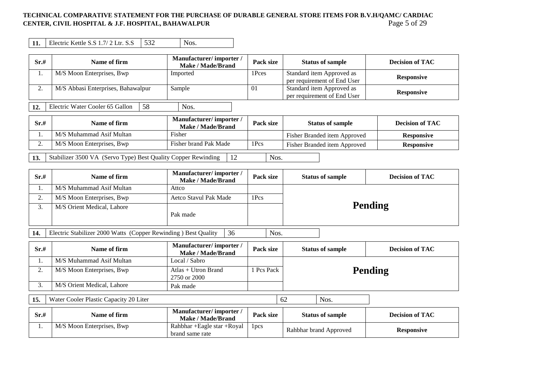### **TECHNICAL COMPARATIVE STATEMENT FOR THE PURCHASE OF DURABLE GENERAL STORE ITEMS FOR B.V.H/QAMC/ CARDIAC CENTER, CIVIL HOSPITAL & J.F. HOSPITAL, BAHAWALPUR** Page 5 of 29

**11.** Electric Kettle S.S  $1.7/2$  Ltr. S.S  $\begin{array}{|l|l|} \hline 532 \end{array}$  Nos.

| Sr.# | Name of firm                          | Manufacturer/importer/<br><b>Make / Made/Brand</b> | Pack size | <b>Status of sample</b>                                  | <b>Decision of TAC</b> |
|------|---------------------------------------|----------------------------------------------------|-----------|----------------------------------------------------------|------------------------|
|      | M/S Moon Enterprises, Bwp             | Imported                                           | 1Pces     | Standard item Approved as<br>per requirement of End User | <b>Responsive</b>      |
|      | M/S Abbasi Enterprises, Bahawalpur    | Sample                                             | -01       | Standard item Approved as<br>per requirement of End User | <b>Responsive</b>      |
|      | 58<br>Electric Water Cooler 65 Gallon | Nos.                                               |           |                                                          |                        |

**Sr.# Name of firm Manufacturer/ importer / Manufacturer/ importer / Make / Made/Brand Pack size Status of sample Decision of TAC** 1. M/S Muhammad Asif Multan **Fisher Fisher Responsive Responsive Responsive Responsive Responsive** 2. M/S Moon Enterprises, Bwp Fisher brand Pak Made 1Pcs Fisher Branded item Approved Responsive

**13.** Stabilizer 3500 VA (Servo Type) Best Quality Copper Rewinding 12 Nos.

| Sr.# | Name of firm               | Manufacturer/importer/<br>Make / Made/Brand | Pack size | <b>Decision of TAC</b><br><b>Status of sample</b> |  |
|------|----------------------------|---------------------------------------------|-----------|---------------------------------------------------|--|
|      | M/S Muhammad Asif Multan   | Attco                                       |           |                                                   |  |
| ۷.   | M/S Moon Enterprises, Bwp  | Aetco Stavul Pak Made                       | 1Pcs      | Pending                                           |  |
|      | M/S Orient Medical, Lahore | Pak made                                    |           |                                                   |  |

**14.** Electric Stabilizer 2000 Watts (Copper Rewinding ) Best Quality 36 Nos.

| Sr.# | Name of firm               | Manufacturer/importer/<br><b>Make / Made/Brand</b> | Pack size  | <b>Status of sample</b> | <b>Decision of TAC</b> |  |
|------|----------------------------|----------------------------------------------------|------------|-------------------------|------------------------|--|
|      | M/S Muhammad Asif Multan   | Local / Sabro                                      |            |                         |                        |  |
| ، ت  | M/S Moon Enterprises, Bwp  | Atlas $+$ Utron Brand<br>2750 or 2000              | 1 Pcs Pack | <b>Pending</b>          |                        |  |
| J.   | M/S Orient Medical, Lahore | Pak made                                           |            |                         |                        |  |

**15.** Water Cooler Plastic Capacity 20 Liter 62 Nos.

| Sr.# | Name of firm              | Manufacturer/importer<br>Make / Made/Brand      | <b>Pack size</b> | <b>Status of sample</b> | <b>Decision of TAC</b> |
|------|---------------------------|-------------------------------------------------|------------------|-------------------------|------------------------|
| . .  | M/S Moon Enterprises, Bwp | Rahbhar + Eagle star + Royal<br>brand same rate | lpcs             | Rahbhar brand Approved  | <b>Responsive</b>      |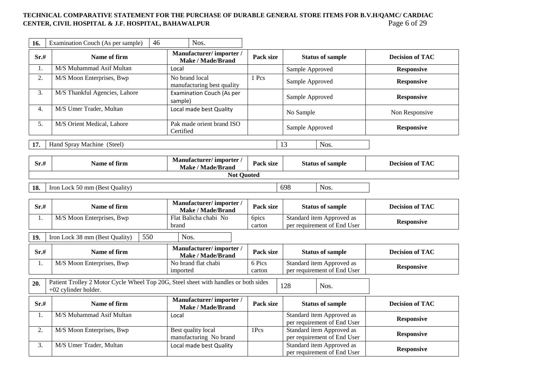## TECHNICAL COMPARATIVE STATEMENT FOR THE PURCHASE OF DURABLE GENERAL STORE ITEMS FOR B.V.H/QAMC/ CARDIAC<br>CENTER, CIVIL HOSPITAL & J.F. HOSPITAL, BAHAWALPUR<br>Page 6 of 29 **CENTER, CIVIL HOSPITAL & J.F. HOSPITAL, BAHAWALPUR**

| 16.               | Examination Couch (As per sample)<br>46                                                                     | Nos.                                               |                  |                                                                                       |                        |
|-------------------|-------------------------------------------------------------------------------------------------------------|----------------------------------------------------|------------------|---------------------------------------------------------------------------------------|------------------------|
| Sr.#              | Name of firm                                                                                                | Manufacturer/importer/<br><b>Make / Made/Brand</b> | Pack size        | <b>Status of sample</b>                                                               | <b>Decision of TAC</b> |
| 1.                | M/S Muhammad Asif Multan                                                                                    | Local                                              |                  | Sample Approved                                                                       | <b>Responsive</b>      |
| 2.                | M/S Moon Enterprises, Bwp                                                                                   | No brand local<br>manufacturing best quality       | 1 Pcs            | Sample Approved                                                                       | <b>Responsive</b>      |
| 3.                | M/S Thankful Agencies, Lahore                                                                               | <b>Examination Couch (As per</b><br>sample)        |                  | Sample Approved                                                                       | <b>Responsive</b>      |
| 4.                | M/S Umer Trader, Multan                                                                                     | Local made best Quality                            |                  | No Sample                                                                             | Non Responsive         |
| 5.                | M/S Orient Medical, Lahore                                                                                  | Pak made orient brand ISO<br>Certified             |                  | Sample Approved                                                                       | <b>Responsive</b>      |
| 17.               | Hand Spray Machine (Steel)                                                                                  |                                                    |                  | 13<br>Nos.                                                                            |                        |
| Sr.#              | Name of firm                                                                                                | Manufacturer/importer/<br><b>Make / Made/Brand</b> | Pack size        | <b>Status of sample</b>                                                               | <b>Decision of TAC</b> |
|                   |                                                                                                             | <b>Not Quoted</b>                                  |                  |                                                                                       |                        |
| 18.               | Iron Lock 50 mm (Best Quality)                                                                              |                                                    |                  | 698<br>Nos.                                                                           |                        |
| Sr.#              | Name of firm                                                                                                | Manufacturer/importer/<br>Make / Made/Brand        | Pack size        | <b>Status of sample</b>                                                               | <b>Decision of TAC</b> |
| 1.                | M/S Moon Enterprises, Bwp                                                                                   | Flat Balicha chabi No                              | <b>6pics</b>     | Standard item Approved as                                                             |                        |
|                   |                                                                                                             | brand                                              | carton           | per requirement of End User                                                           | <b>Responsive</b>      |
| 19.               | Iron Lock 38 mm (Best Quality)<br>550                                                                       | Nos.                                               |                  |                                                                                       |                        |
| $\mathbf{Sr\!}\#$ | Name of firm                                                                                                | Manufacturer/importer/<br><b>Make / Made/Brand</b> | Pack size        | <b>Status of sample</b>                                                               | <b>Decision of TAC</b> |
| 1.                | M/S Moon Enterprises, Bwp                                                                                   | No brand flat chabi<br>imported                    | 6 Pics<br>carton | Standard item Approved as<br>per requirement of End User                              | <b>Responsive</b>      |
| 20.               | Patient Trolley 2 Motor Cycle Wheel Top 20G, Steel sheet with handles or both sides<br>+02 cylinder holder. |                                                    |                  | 128<br>Nos.                                                                           |                        |
| Sr.#              | Name of firm                                                                                                | Manufacturer/importer/<br><b>Make / Made/Brand</b> | Pack size        | <b>Status of sample</b>                                                               | <b>Decision of TAC</b> |
| 1.                | M/S Muhammad Asif Multan                                                                                    | Local                                              |                  | Standard item Approved as<br>per requirement of End User                              | <b>Responsive</b>      |
| 2.                | M/S Moon Enterprises, Bwp<br>M/S Umer Trader, Multan                                                        | Best quality local<br>manufacturing No brand       | 1Pcs             | Standard item Approved as<br>per requirement of End User<br>Standard item Approved as | <b>Responsive</b>      |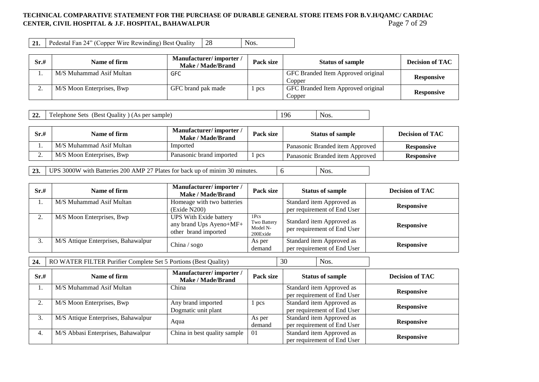### **TECHNICAL COMPARATIVE STATEMENT FOR THE PURCHASE OF DURABLE GENERAL STORE ITEMS FOR B.V.H/QAMC/ CARDIAC CENTER, CIVIL HOSPITAL & J.F. HOSPITAL, BAHAWALPUR** Page 7 of 29

**21.** Pedestal Fan 24" (Copper Wire Rewinding) Best Quality 28 Nos.

| Sr.# | Name of firm              | Manufacturer/importer/<br><b>Make / Made/Brand</b> | Pack size | <b>Status of sample</b>                      | <b>Decision of TAC</b> |
|------|---------------------------|----------------------------------------------------|-----------|----------------------------------------------|------------------------|
|      | M/S Muhammad Asif Multan  | <b>GFC</b>                                         |           | GFC Branded Item Approved original<br>Copper | <b>Responsive</b>      |
|      | M/S Moon Enterprises, Bwp | GFC brand pak made                                 | pcs       | GFC Branded Item Approved original<br>Copper | <b>Responsive</b>      |

**22.** Telephone Sets (Best Quality) (As per sample) 196 and 196 Nos.

| Sr.#     | Name of firm              | Manufacturer/importer/<br>Make / Made/Brand | Pack size | <b>Status of sample</b>         | Decision of TAC   |
|----------|---------------------------|---------------------------------------------|-----------|---------------------------------|-------------------|
|          | M/S Muhammad Asif Multan  | Imported                                    |           | Panasonic Branded item Approved | <b>Responsive</b> |
| <u>.</u> | M/S Moon Enterprises, Bwp | Panasonic brand imported                    | pcs       | Panasonic Branded item Approved | <b>Responsive</b> |
|          |                           |                                             |           |                                 |                   |

**23.** UPS 3000W with Batteries 200 AMP 27 Plates for back up of minim 30 minutes.  $\begin{bmatrix} 6 \end{bmatrix}$  Nos.

| Sr.#           | Name of firm                        | Manufacturer/importer/<br>Make / Made/Brand                                      | Pack size                                               | <b>Status of sample</b>                                  | <b>Decision of TAC</b> |
|----------------|-------------------------------------|----------------------------------------------------------------------------------|---------------------------------------------------------|----------------------------------------------------------|------------------------|
|                | M/S Muhammad Asif Multan            | Homeage with two batteries<br>(Exide N200)                                       |                                                         | Standard item Approved as<br>per requirement of End User | <b>Responsive</b>      |
| $\Omega$<br>۷. | M/S Moon Enterprises, Bwp           | <b>UPS With Exide battery</b><br>any brand Ups Ayeno+MF+<br>other brand imported | 1 <sub>PCS</sub><br>Two Battery<br>Model N-<br>200Exide | Standard item Approved as<br>per requirement of End User | <b>Responsive</b>      |
| 3.             | M/S Attique Enterprises, Bahawalpur | China / $sogo$                                                                   | As per<br>demand                                        | Standard item Approved as<br>per requirement of End User | <b>Responsive</b>      |

**24.** RO WATER FILTER Purifier Complete Set 5 Portions (Best Quality) 30 Nos.

| Sr.#    | Name of firm                        | Manufacturer/importer/<br>Make / Made/Brand | Pack size        | <b>Status of sample</b>                                  | <b>Decision of TAC</b> |
|---------|-------------------------------------|---------------------------------------------|------------------|----------------------------------------------------------|------------------------|
| .,      | M/S Muhammad Asif Multan            | China                                       |                  | Standard item Approved as<br>per requirement of End User | <b>Responsive</b>      |
| ◠<br>۷. | M/S Moon Enterprises, Bwp           | Any brand imported<br>Dogmatic unit plant   | pcs              | Standard item Approved as<br>per requirement of End User | <b>Responsive</b>      |
| 3.      | M/S Attique Enterprises, Bahawalpur | Aqua                                        | As per<br>demand | Standard item Approved as<br>per requirement of End User | <b>Responsive</b>      |
| 4.      | M/S Abbasi Enterprises, Bahawalpur  | China in best quality sample                | 01               | Standard item Approved as<br>per requirement of End User | <b>Responsive</b>      |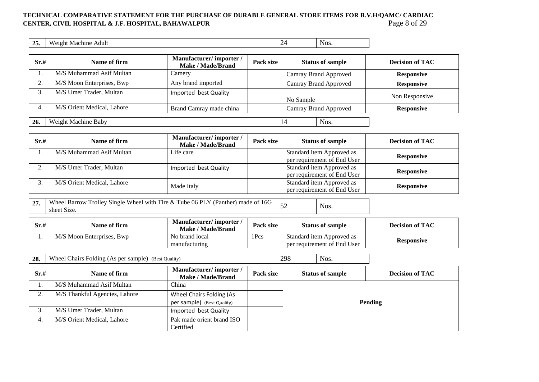## TECHNICAL COMPARATIVE STATEMENT FOR THE PURCHASE OF DURABLE GENERAL STORE ITEMS FOR B.V.H/QAMC/ CARDIAC<br>CENTER, CIVIL HOSPITAL & J.F. HOSPITAL, BAHAWALPUR<br>Page 8 of 29 **CENTER, CIVIL HOSPITAL & J.F. HOSPITAL, BAHAWALPUR**

| 25. | $\mathbf{W}$<br>Adulf<br>eight.<br><b>Machine</b> | -- | NOS.<br>$  -$ |
|-----|---------------------------------------------------|----|---------------|
|     |                                                   |    |               |

| Sr.#                | Name of firm               | Manufacturer/importer/<br>Make / Made/Brand | Pack size |                       | <b>Status of sample</b> | <b>Decision of TAC</b> |
|---------------------|----------------------------|---------------------------------------------|-----------|-----------------------|-------------------------|------------------------|
|                     | M/S Muhammad Asif Multan   | Camery                                      |           |                       | Camray Brand Approved   | <b>Responsive</b>      |
| $\mathcal{L}$<br>۷. | M/S Moon Enterprises, Bwp  | Any brand imported                          |           |                       | Camray Brand Approved   | <b>Responsive</b>      |
| 3.                  | M/S Umer Trader, Multan    | Imported best Quality                       |           | No Sample             |                         | Non Responsive         |
| 4.                  | M/S Orient Medical, Lahore | Brand Camray made china                     |           | Camray Brand Approved |                         | <b>Responsive</b>      |
| 26.                 | Weight Machine Baby        |                                             |           | 14                    | Nos.                    |                        |

| Sr.# | Name of firm               | Manufacturer/importer/<br>Make / Made/Brand | Pack size | <b>Status of sample</b>     | <b>Decision of TAC</b> |
|------|----------------------------|---------------------------------------------|-----------|-----------------------------|------------------------|
|      | M/S Muhammad Asif Multan   | Life care                                   |           | Standard item Approved as   | <b>Responsive</b>      |
|      |                            |                                             |           | per requirement of End User |                        |
|      | M/S Umer Trader, Multan    | Imported best Quality                       |           | Standard item Approved as   | <b>Responsive</b>      |
|      |                            |                                             |           | per requirement of End User |                        |
|      | M/S Orient Medical, Lahore | Made Italy                                  |           | Standard item Approved as   |                        |
|      |                            |                                             |           | per requirement of End User | <b>Responsive</b>      |

**27.** Wheel Barrow Trolley Single Wheel with Tire & Tube 06 PLY (Panther) made of 16G  $\begin{bmatrix} 52 \\ 52 \end{bmatrix}$  Nos.

| Sr.# | Name of firm              | Manufacturer/importer/<br>Make / Made/Brand | <b>Pack size</b> | <b>Status of sample</b>     | <b>Decision of TAC</b> |  |
|------|---------------------------|---------------------------------------------|------------------|-----------------------------|------------------------|--|
|      | M/S Moon Enterprises, Bwp | No brand local                              | 1Pcs             | Standard item Approved as   |                        |  |
|      |                           | manufacturing                               |                  | per requirement of End User | <b>Responsive</b>      |  |

| 28.  | 298<br>Nos.<br>Wheel Chairs Folding (As per sample) (Best Quality) |                                             |           |  |                         |                        |
|------|--------------------------------------------------------------------|---------------------------------------------|-----------|--|-------------------------|------------------------|
| Sr.# | Name of firm                                                       | Manufacturer/importer/<br>Make / Made/Brand | Pack size |  | <b>Status of sample</b> | <b>Decision of TAC</b> |
| 1.   | M/S Muhammad Asif Multan                                           | China                                       |           |  |                         |                        |
| 2.   | M/S Thankful Agencies, Lahore                                      | Wheel Chairs Folding (As                    |           |  |                         |                        |
|      |                                                                    | per sample) (Best Quality)                  |           |  |                         | <b>Pending</b>         |
| 3.   | M/S Umer Trader, Multan                                            | Imported best Quality                       |           |  |                         |                        |
| 4.   | M/S Orient Medical, Lahore                                         | Pak made orient brand ISO                   |           |  |                         |                        |
|      |                                                                    | Certified                                   |           |  |                         |                        |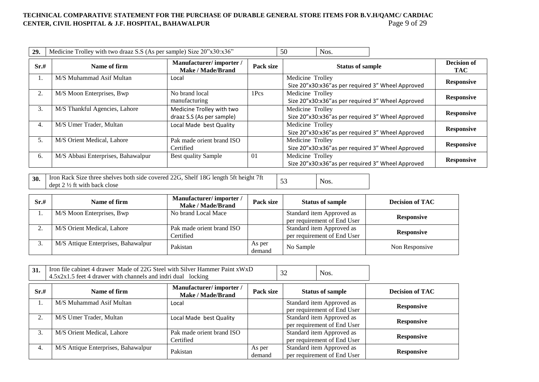## TECHNICAL COMPARATIVE STATEMENT FOR THE PURCHASE OF DURABLE GENERAL STORE ITEMS FOR B.V.H/QAMC/ CARDIAC<br>CENTER, CIVIL HOSPITAL & J.F. HOSPITAL, BAHAWALPUR **CENTER, CIVIL HOSPITAL & J.F. HOSPITAL, BAHAWALPUR**

| 29.  | Medicine Trolley with two draaz S.S (As per sample) Size 20"x30:x36" |                                                        |           | 50               | Nos.                    |                                                   |                                  |
|------|----------------------------------------------------------------------|--------------------------------------------------------|-----------|------------------|-------------------------|---------------------------------------------------|----------------------------------|
| Sr.# | Name of firm                                                         | Manufacturer/importer/<br>Make / Made/Brand            | Pack size |                  | <b>Status of sample</b> |                                                   | <b>Decision of</b><br><b>TAC</b> |
| 1.   | M/S Muhammad Asif Multan                                             | Local                                                  |           | Medicine Trolley |                         | Size 20"x30:x36"as per required 3" Wheel Approved | <b>Responsive</b>                |
| 2.   | M/S Moon Enterprises, Bwp                                            | No brand local<br>manufacturing                        | 1Pcs      | Medicine Trolley |                         | Size 20"x30:x36"as per required 3" Wheel Approved | <b>Responsive</b>                |
| 3.   | M/S Thankful Agencies, Lahore                                        | Medicine Trolley with two<br>draaz S.S (As per sample) |           | Medicine Trolley |                         | Size 20"x30:x36"as per required 3" Wheel Approved | <b>Responsive</b>                |
| 4.   | M/S Umer Trader, Multan                                              | Local Made best Quality                                |           | Medicine Trolley |                         | Size 20"x30:x36"as per required 3" Wheel Approved | <b>Responsive</b>                |
| 5.   | M/S Orient Medical, Lahore                                           | Pak made orient brand ISO<br>Certified                 |           | Medicine Trolley |                         | Size 20"x30:x36"as per required 3" Wheel Approved | <b>Responsive</b>                |
| 6.   | M/S Abbasi Enterprises, Bahawalpur                                   | <b>Best quality Sample</b>                             | $\Omega$  | Medicine Trolley |                         | Size 20"x30:x36"as per required 3" Wheel Approved | <b>Responsive</b>                |

**30.** Iron Rack Size three shelves both side covered 22G, Shelf 18G length 5ft height 7ft dept 2  $\frac{1}{2}$  ft with back close

| Sr.# | Name of firm                        | Manufacturer/importer/<br>Make / Made/Brand | Pack size        | <b>Status of sample</b>                                  | <b>Decision of TAC</b> |
|------|-------------------------------------|---------------------------------------------|------------------|----------------------------------------------------------|------------------------|
|      | M/S Moon Enterprises, Bwp           | No brand Local Mace                         |                  | Standard item Approved as<br>per requirement of End User | <b>Responsive</b>      |
|      | M/S Orient Medical, Lahore          | Pak made orient brand ISO<br>Certified      |                  | Standard item Approved as<br>per requirement of End User | <b>Responsive</b>      |
|      | M/S Attique Enterprises, Bahawalpur | Pakistan                                    | As per<br>demand | No Sample                                                | Non Responsive         |

| 31.  | Iron file cabinet 4 drawer Made of 22G Steel with Silver Hammer Paint xWxD<br>$4.5x2x1.5$ feet 4 drawer with channels and indri dual locking |                                                    |                  | 32 | Nos.                                                     |                        |
|------|----------------------------------------------------------------------------------------------------------------------------------------------|----------------------------------------------------|------------------|----|----------------------------------------------------------|------------------------|
| Sr.# | Name of firm                                                                                                                                 | Manufacturer/importer/<br><b>Make / Made/Brand</b> | Pack size        |    | <b>Status of sample</b>                                  | <b>Decision of TAC</b> |
|      | M/S Muhammad Asif Multan                                                                                                                     | Local                                              |                  |    | Standard item Approved as<br>per requirement of End User | <b>Responsive</b>      |
| 2.   | M/S Umer Trader, Multan                                                                                                                      | Local Made best Quality                            |                  |    | Standard item Approved as<br>per requirement of End User | <b>Responsive</b>      |
| 3.   | M/S Orient Medical, Lahore                                                                                                                   | Pak made orient brand ISO<br>Certified             |                  |    | Standard item Approved as<br>per requirement of End User | <b>Responsive</b>      |
| 4.   | M/S Attique Enterprises, Bahawalpur                                                                                                          | Pakistan                                           | As per<br>demand |    | Standard item Approved as<br>per requirement of End User | <b>Responsive</b>      |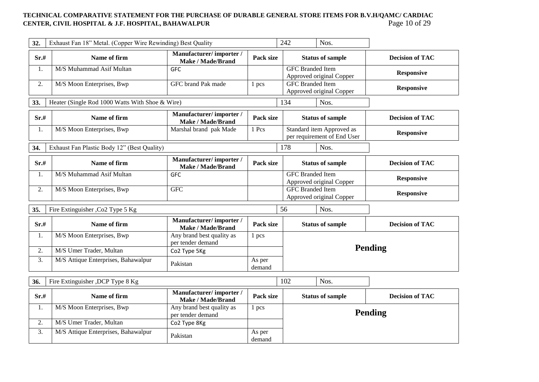## TECHNICAL COMPARATIVE STATEMENT FOR THE PURCHASE OF DURABLE GENERAL STORE ITEMS FOR B.V.H/QAMC/ CARDIAC<br>CENTER, CIVIL HOSPITAL & J.F. HOSPITAL, BAHAWALPUR<br>Page 10 of 29 **CENTER, CIVIL HOSPITAL & J.F. HOSPITAL, BAHAWALPUR**

| 32.  | Exhaust Fan 18" Metal. (Copper Wire Rewinding) Best Quality |                                                    |                  | 242 |                         | Nos.                                                     |                        |
|------|-------------------------------------------------------------|----------------------------------------------------|------------------|-----|-------------------------|----------------------------------------------------------|------------------------|
| Sr.# | Name of firm                                                | Manufacturer/importer/<br><b>Make / Made/Brand</b> | Pack size        |     |                         | <b>Status of sample</b>                                  | <b>Decision of TAC</b> |
| 1.   | M/S Muhammad Asif Multan                                    | <b>GFC</b>                                         |                  |     | <b>GFC</b> Branded Item | Approved original Copper                                 | <b>Responsive</b>      |
| 2.   | M/S Moon Enterprises, Bwp                                   | <b>GFC</b> brand Pak made                          | 1 pcs            |     | <b>GFC</b> Branded Item | Approved original Copper                                 | <b>Responsive</b>      |
| 33.  | Heater (Single Rod 1000 Watts With Shoe & Wire)             |                                                    |                  | 134 |                         | Nos.                                                     |                        |
| Sr.# | Name of firm                                                | Manufacturer/importer/<br><b>Make / Made/Brand</b> | Pack size        |     |                         | <b>Status of sample</b>                                  | <b>Decision of TAC</b> |
| 1.   | M/S Moon Enterprises, Bwp                                   | Marshal brand pak Made                             | 1 Pcs            |     |                         | Standard item Approved as<br>per requirement of End User | <b>Responsive</b>      |
| 34.  | Exhaust Fan Plastic Body 12" (Best Quality)                 |                                                    |                  | 178 |                         | Nos.                                                     |                        |
| Sr.# | Name of firm                                                | Manufacturer/importer/<br><b>Make / Made/Brand</b> | Pack size        |     |                         | <b>Status of sample</b>                                  | <b>Decision of TAC</b> |
| 1.   | M/S Muhammad Asif Multan                                    | <b>GFC</b>                                         |                  |     | <b>GFC</b> Branded Item | Approved original Copper                                 | <b>Responsive</b>      |
| 2.   | M/S Moon Enterprises, Bwp                                   | <b>GFC</b>                                         |                  |     | <b>GFC</b> Branded Item | Approved original Copper                                 | <b>Responsive</b>      |
| 35.  | Fire Extinguisher , Co2 Type 5 Kg                           |                                                    |                  | 56  |                         | Nos.                                                     |                        |
| Sr.# | Name of firm                                                | Manufacturer/importer/<br><b>Make / Made/Brand</b> | Pack size        |     |                         | <b>Status of sample</b>                                  | <b>Decision of TAC</b> |
| 1.   | M/S Moon Enterprises, Bwp                                   | Any brand best quality as<br>per tender demand     | 1 pcs            |     |                         |                                                          |                        |
| 2.   | M/S Umer Trader, Multan                                     | Co2 Type 5Kg                                       |                  |     |                         |                                                          | <b>Pending</b>         |
| 3.   | M/S Attique Enterprises, Bahawalpur                         | Pakistan                                           | As per<br>demand |     |                         |                                                          |                        |
| 36.  | Fire Extinguisher , DCP Type 8 Kg                           |                                                    |                  | 102 |                         | Nos.                                                     |                        |
| Sr.# | Name of firm                                                | Manufacturer/importer/<br><b>Make / Made/Brand</b> | Pack size        |     |                         | <b>Status of sample</b>                                  | <b>Decision of TAC</b> |
| 1.   | M/S Moon Enterprises, Bwp                                   | Any brand best quality as<br>per tender demand     | 1 pcs            |     |                         |                                                          | <b>Pending</b>         |
| 2.   | M/S Umer Trader, Multan                                     | Co2 Type 8Kg                                       |                  |     |                         |                                                          |                        |
| 3.   | M/S Attique Enterprises, Bahawalpur                         | Pakistan                                           | As per<br>demand |     |                         |                                                          |                        |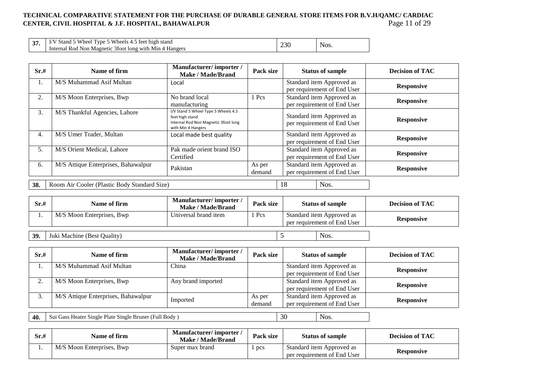## **TECHNICAL COMPARATIVE STATEMENT FOR THE PURCHASE OF DURABLE GENERAL STORE ITEMS FOR B.V.H/QAMC/ CARDIAC CENTER, CIVIL HOSPITAL & J.F. HOSPITAL, BAHAWALPUR** Page 11 of 29

| $\sim$<br>. J | $\sim$ Wheels 4.<br>Stand.<br>feet high<br>$T$ vne.<br>≅stano<br>Wheel | $\cap$ |      |
|---------------|------------------------------------------------------------------------|--------|------|
|               | Internal Rod<br>3foot long with Min<br><b>Hangers</b><br>Non Magnetic  | ZSU    | NOS. |

| Sr.# | Name of firm                                 | Manufacturer/importer/<br><b>Make / Made/Brand</b>                                                                   | Pack size        | <b>Status of sample</b>                                  | <b>Decision of TAC</b> |
|------|----------------------------------------------|----------------------------------------------------------------------------------------------------------------------|------------------|----------------------------------------------------------|------------------------|
| 1.   | M/S Muhammad Asif Multan                     | Local                                                                                                                |                  | Standard item Approved as<br>per requirement of End User | <b>Responsive</b>      |
| 2.   | M/S Moon Enterprises, Bwp                    | No brand local<br>manufacturing                                                                                      | Pcs              | Standard item Approved as<br>per requirement of End User | <b>Responsive</b>      |
| 3.   | M/S Thankful Agencies, Lahore                | I/V Stand 5 Wheel Type 5 Wheels 4.5<br>feet high stand<br>Internal Rod Non Magnetic 3foot long<br>with Min 4 Hangers |                  | Standard item Approved as<br>per requirement of End User | <b>Responsive</b>      |
| 4.   | M/S Umer Trader, Multan                      | Local made best quality                                                                                              |                  | Standard item Approved as<br>per requirement of End User | <b>Responsive</b>      |
| 5.   | M/S Orient Medical, Lahore                   | Pak made orient brand ISO<br>Certified                                                                               |                  | Standard item Approved as<br>per requirement of End User | <b>Responsive</b>      |
| 6.   | M/S Attique Enterprises, Bahawalpur          | Pakistan                                                                                                             | As per<br>demand | Standard item Approved as<br>per requirement of End User | <b>Responsive</b>      |
| 38.  | Room Air Cooler (Plastic Body Standard Size) |                                                                                                                      |                  | 18<br>Nos.                                               |                        |

| Sr.# | Name of firm              | Manufacturer/importer/<br><b>Make / Made/Brand</b> | Pack size | <b>Status of sample</b>                                  | <b>Decision of TAC</b> |
|------|---------------------------|----------------------------------------------------|-----------|----------------------------------------------------------|------------------------|
|      | M/S Moon Enterprises, Bwp | Universal brand item                               | Pcs       | Standard item Approved as<br>per requirement of End User | <b>Responsive</b>      |
|      |                           |                                                    |           |                                                          |                        |

| 39. | <b>Juki Machine (Best Quality)</b><br>$\sim$ $\sim$ $\sim$ $\sim$ |  | Nos. |
|-----|-------------------------------------------------------------------|--|------|
|-----|-------------------------------------------------------------------|--|------|

| Sr.# | Name of firm                        | Manufacturer/importer/<br>Make / Made/Brand | Pack size        | <b>Status of sample</b>                                  | <b>Decision of TAC</b> |
|------|-------------------------------------|---------------------------------------------|------------------|----------------------------------------------------------|------------------------|
|      | M/S Muhammad Asif Multan            | China                                       |                  | Standard item Approved as<br>per requirement of End User | <b>Responsive</b>      |
|      | M/S Moon Enterprises, Bwp           | Any brand imported                          |                  | Standard item Approved as<br>per requirement of End User | <b>Responsive</b>      |
| J.   | M/S Attique Enterprises, Bahawalpur | Imported                                    | As per<br>demand | Standard item Approved as<br>per requirement of End User | <b>Responsive</b>      |

**40.** Sui Gass Heater Single Plate Single Bruner (Full Body ) 30 Nos.

| Sr.# | Name of firm              | Manufacturer/importer<br>Make / Made/Brand | <b>Pack size</b> | <b>Status of sample</b>                                  | <b>Decision of TAC</b> |
|------|---------------------------|--------------------------------------------|------------------|----------------------------------------------------------|------------------------|
| л.,  | M/S Moon Enterprises, Bwp | Super max brand                            | pcs              | Standard item Approved as<br>per requirement of End User | <b>Responsive</b>      |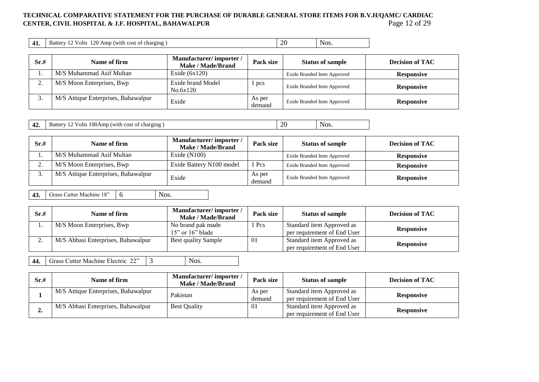## TECHNICAL COMPARATIVE STATEMENT FOR THE PURCHASE OF DURABLE GENERAL STORE ITEMS FOR B.V.H/QAMC/ CARDIAC<br>CENTER, CIVIL HOSPITAL & J.F. HOSPITAL, BAHAWALPUR<br>Page 12 of 29 **CENTER, CIVIL HOSPITAL & J.F. HOSPITAL, BAHAWALPUR**

| 20 <sub>1</sub><br>71<br>NOS.<br>Volts<br>charging<br>' with<br>Amr<br><b>Form</b><br>Batt<br>cost<br>ZU.<br>T.L.<br>$\overline{\phantom{0}}$ |  |  |  |  |
|-----------------------------------------------------------------------------------------------------------------------------------------------|--|--|--|--|
|-----------------------------------------------------------------------------------------------------------------------------------------------|--|--|--|--|

| Sr.# | Name of firm                        | Manufacturer/importer/<br>Make / Made/Brand | Pack size        | <b>Status of sample</b>     | <b>Decision of TAC</b> |
|------|-------------------------------------|---------------------------------------------|------------------|-----------------------------|------------------------|
|      | M/S Muhammad Asif Multan            | Exide $(6x120)$                             |                  | Exide Branded Item Approved | <b>Responsive</b>      |
|      | M/S Moon Enterprises, Bwp           | Exide brand Model<br>No.6x120               | pcs              | Exide Branded Item Approved | <b>Responsive</b>      |
| ິ.   | M/S Attique Enterprises, Bahawalpur | Exide                                       | As per<br>demand | Exide Branded Item Approved | <b>Responsive</b>      |

| $\Delta$<br>$100A$ mp<br>Volts<br>Nos.<br>charging<br>Battery<br>(with<br>ı cost<br>. OT<br>∼<br>┱∠<br>. .<br><b>Contract Contract Contract Contract Contract Contract Contract Contract Contract Contract Contract Contract Co</b> |
|-------------------------------------------------------------------------------------------------------------------------------------------------------------------------------------------------------------------------------------|
|-------------------------------------------------------------------------------------------------------------------------------------------------------------------------------------------------------------------------------------|

| Sr.# | Name of firm                        | Manufacturer/importer/<br>Make / Made/Brand | Pack size        | <b>Status of sample</b>     | <b>Decision of TAC</b> |
|------|-------------------------------------|---------------------------------------------|------------------|-----------------------------|------------------------|
|      | M/S Muhammad Asif Multan            | Exide $(N100)$                              |                  | Exide Branded Item Approved | <b>Responsive</b>      |
| ـ.   | M/S Moon Enterprises, Bwp           | Exide Battery N100 model                    | 1 Pcs            | Exide Branded Item Approved | <b>Responsive</b>      |
|      | M/S Attique Enterprises, Bahawalpur | Exide                                       | As per<br>demand | Exide Branded Item Approved | <b>Responsive</b>      |

**43.** Grass Cutter Machine 18" 6 Nos.

| Sr.# | Name of firm                       | Manufacturer/importer/<br>Make / Made/Brand | Pack size | <b>Status of sample</b>                                  | <b>Decision of TAC</b> |
|------|------------------------------------|---------------------------------------------|-----------|----------------------------------------------------------|------------------------|
|      | M/S Moon Enterprises, Bwp          | No brand pak made<br>$15"$ or $16"$ blade   | Pcs       | Standard item Approved as<br>per requirement of End User | <b>Responsive</b>      |
| ,.   | M/S Abbasi Enterprises, Bahawalpur | Best quality Sample                         | 01        | Standard item Approved as<br>per requirement of End User | <b>Responsive</b>      |

**44.** Grass Cutter Machine Electric 22" 3 Nos.

| Sr.# | Name of firm                        | Manufacturer/importer/<br><b>Make / Made/Brand</b> | Pack size        | <b>Status of sample</b>                                  | <b>Decision of TAC</b> |
|------|-------------------------------------|----------------------------------------------------|------------------|----------------------------------------------------------|------------------------|
|      | M/S Attique Enterprises, Bahawalpur | Pakistan                                           | As per<br>demand | Standard item Approved as<br>per requirement of End User | <b>Responsive</b>      |
| ∸.   | M/S Abbasi Enterprises, Bahawalpur  | <b>Best Quality</b>                                | 01               | Standard item Approved as<br>per requirement of End User | <b>Responsive</b>      |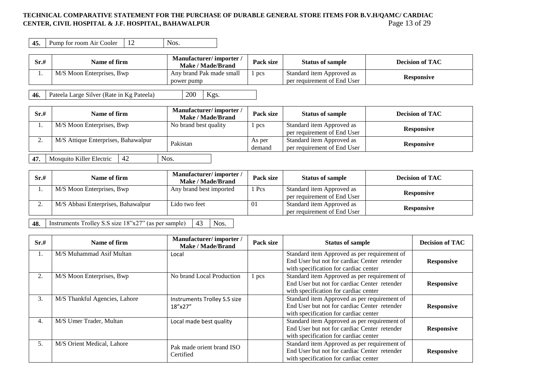### **TECHNICAL COMPARATIVE STATEMENT FOR THE PURCHASE OF DURABLE GENERAL STORE ITEMS FOR B.V.H/QAMC/ CARDIAC CENTER, CIVIL HOSPITAL & J.F. HOSPITAL, BAHAWALPUR** Page 13 of 29

| Sr.# | Name of firm              | Manufacturer/importer/<br><b>Make / Made/Brand</b> | <b>Pack size</b> | <b>Status of sample</b>                                  | <b>Decision of TAC</b> |
|------|---------------------------|----------------------------------------------------|------------------|----------------------------------------------------------|------------------------|
|      | M/S Moon Enterprises, Bwp | Any brand Pak made small<br>power pump             | pcs              | Standard item Approved as<br>per requirement of End User | <b>Responsive</b>      |

**46.** Pateela Large Silver (Rate in Kg Pateela) 200 Kgs.

| Sr.# | Name of firm                        |    | Manufacturer/importer/<br><b>Make / Made/Brand</b> | Pack size | <b>Status of sample</b>     | <b>Decision of TAC</b> |
|------|-------------------------------------|----|----------------------------------------------------|-----------|-----------------------------|------------------------|
|      | M/S Moon Enterprises, Bwp           |    | No brand best quality                              | pcs       | Standard item Approved as   | <b>Responsive</b>      |
|      |                                     |    |                                                    |           | per requirement of End User |                        |
|      | M/S Attique Enterprises, Bahawalpur |    | Pakistan                                           | As per    | Standard item Approved as   | <b>Responsive</b>      |
|      |                                     |    |                                                    | demand    | per requirement of End User |                        |
| 47.  | Mosquito Killer Electric            | 42 | Nos.                                               |           |                             |                        |

| Sr.# | Name of firm                       | Manufacturer/importer/<br>Make / Made/Brand | Pack size | <b>Status of sample</b>                                  | <b>Decision of TAC</b> |
|------|------------------------------------|---------------------------------------------|-----------|----------------------------------------------------------|------------------------|
|      | M/S Moon Enterprises, Bwp          | Any brand best imported                     | 1 Pcs     | Standard item Approved as<br>per requirement of End User | <b>Responsive</b>      |
| ٠.   | M/S Abbasi Enterprises, Bahawalpur | Lido two feet                               | 01        | Standard item Approved as<br>per requirement of End User | <b>Responsive</b>      |

**48.** Instruments Trolley S.S size  $18"x27"$  (as per sample) 43 Nos.

| Sr.# | Name of firm                  | Manufacturer/importer/<br>Make / Made/Brand | Pack size | <b>Status of sample</b>                                                                      | <b>Decision of TAC</b> |
|------|-------------------------------|---------------------------------------------|-----------|----------------------------------------------------------------------------------------------|------------------------|
| 1.   | M/S Muhammad Asif Multan      | Local                                       |           | Standard item Approved as per requirement of<br>End User but not for cardiac Center retender |                        |
|      |                               |                                             |           | with specification for cardiac center                                                        | <b>Responsive</b>      |
| 2.   | M/S Moon Enterprises, Bwp     | No brand Local Production                   | 1 pcs     | Standard item Approved as per requirement of<br>End User but not for cardiac Center retender |                        |
|      |                               |                                             |           | with specification for cardiac center                                                        | <b>Responsive</b>      |
| 3.   | M/S Thankful Agencies, Lahore | Instruments Trolley S.S size                |           | Standard item Approved as per requirement of<br>End User but not for cardiac Center retender |                        |
|      |                               | 18"x27"                                     |           | with specification for cardiac center                                                        | <b>Responsive</b>      |
| 4.   | M/S Umer Trader, Multan       | Local made best quality                     |           | Standard item Approved as per requirement of                                                 |                        |
|      |                               |                                             |           | End User but not for cardiac Center retender<br>with specification for cardiac center        | <b>Responsive</b>      |
| 5.   | M/S Orient Medical, Lahore    |                                             |           | Standard item Approved as per requirement of                                                 |                        |
|      |                               | Pak made orient brand ISO                   |           | End User but not for cardiac Center retender                                                 | <b>Responsive</b>      |
|      |                               | Certified                                   |           | with specification for cardiac center                                                        |                        |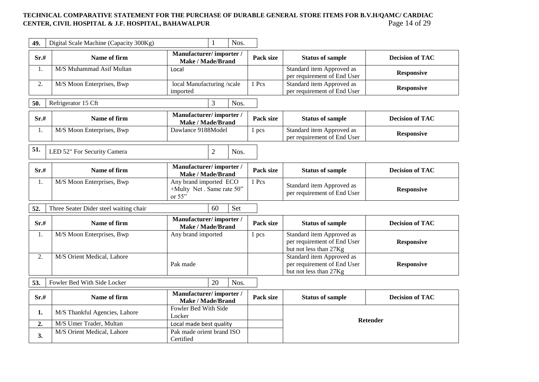## TECHNICAL COMPARATIVE STATEMENT FOR THE PURCHASE OF DURABLE GENERAL STORE ITEMS FOR B.V.H/QAMC/ CARDIAC<br>CENTER, CIVIL HOSPITAL & J.F. HOSPITAL, BAHAWALPUR<br>Page 14 of 29 **CENTER, CIVIL HOSPITAL & J.F. HOSPITAL, BAHAWALPUR**

| 49.  | Digital Scale Machine (Capacity 300Kg) |                                                                  | 1              | Nos.  |                                                                                    |                                                                                    |                        |
|------|----------------------------------------|------------------------------------------------------------------|----------------|-------|------------------------------------------------------------------------------------|------------------------------------------------------------------------------------|------------------------|
| Sr.# | Name of firm                           | Manufacturer/importer/<br>Make / Made/Brand                      |                |       | Pack size                                                                          | <b>Status of sample</b>                                                            | <b>Decision of TAC</b> |
| 1.   | M/S Muhammad Asif Multan               | Local                                                            |                |       |                                                                                    | Standard item Approved as<br>per requirement of End User                           | <b>Responsive</b>      |
| 2.   | M/S Moon Enterprises, Bwp              | local Manufacturing /scale<br>imported                           |                |       | 1 Pcs                                                                              | Standard item Approved as<br>per requirement of End User                           | <b>Responsive</b>      |
| 50.  | Refrigerator 15 Cft                    |                                                                  | 3              | Nos.  |                                                                                    |                                                                                    |                        |
| Sr.# | Name of firm                           | Manufacturer/importer/<br><b>Make / Made/Brand</b>               |                |       | Pack size                                                                          | <b>Status of sample</b>                                                            | <b>Decision of TAC</b> |
| 1.   | M/S Moon Enterprises, Bwp              | Dawlance 9188Model                                               |                |       | 1 pcs                                                                              | Standard item Approved as<br>per requirement of End User                           | <b>Responsive</b>      |
| 51.  | LED 52" For Security Camera            |                                                                  | $\overline{2}$ | Nos.  |                                                                                    |                                                                                    |                        |
| Sr.# | Name of firm                           | Manufacturer/importer/<br>Make / Made/Brand                      |                |       | Pack size                                                                          | <b>Status of sample</b>                                                            | <b>Decision of TAC</b> |
| 1.   | M/S Moon Enterprises, Bwp              | Any brand imported ECO<br>+Multy Net . Same rate 50"<br>or $55"$ |                | 1 Pcs | Standard item Approved as<br>per requirement of End User                           | <b>Responsive</b>                                                                  |                        |
| 52.  | Three Seater Dider steel waiting chair |                                                                  | 60             | Set   |                                                                                    |                                                                                    |                        |
| Sr.# | Name of firm                           | Manufacturer/importer/<br><b>Make / Made/Brand</b>               |                |       | Pack size                                                                          | <b>Status of sample</b>                                                            | <b>Decision of TAC</b> |
| 1.   | M/S Moon Enterprises, Bwp              | Any brand imported                                               |                |       | 1 pcs                                                                              | Standard item Approved as<br>per requirement of End User<br>but not less than 27Kg | <b>Responsive</b>      |
| 2.   | M/S Orient Medical, Lahore             | Pak made                                                         |                |       | Standard item Approved as<br>per requirement of End User<br>but not less than 27Kg | <b>Responsive</b>                                                                  |                        |
| 53.  | Fowler Bed With Side Locker            |                                                                  | 20             | Nos.  |                                                                                    |                                                                                    |                        |
| Sr.# | Name of firm                           | Manufacturer/importer/<br><b>Make / Made/Brand</b>               |                |       | Pack size                                                                          | <b>Status of sample</b>                                                            | <b>Decision of TAC</b> |
| 1.   | M/S Thankful Agencies, Lahore          | Fowler Bed With Side<br>Locker                                   |                |       |                                                                                    |                                                                                    | <b>Retender</b>        |
| 2.   | M/S Umer Trader, Multan                | Local made best quality                                          |                |       |                                                                                    |                                                                                    |                        |
| 3.   | M/S Orient Medical, Lahore             | Pak made orient brand ISO<br>Certified                           |                |       |                                                                                    |                                                                                    |                        |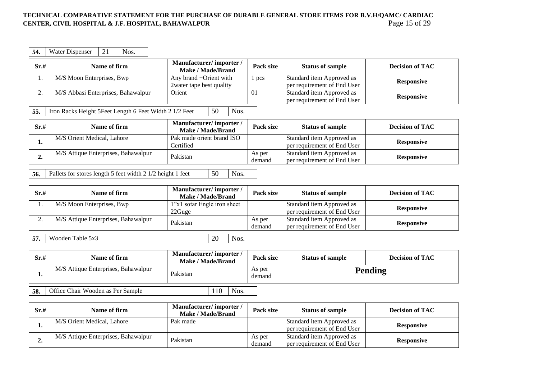### TECHNICAL COMPARATIVE STATEMENT FOR THE PURCHASE OF DURABLE GENERAL STORE ITEMS FOR B.V.H/QAMC/ CARDIAC<br>CENTER, CIVIL HOSPITAL & J.F. HOSPITAL, BAHAWALPUR **CENTER, CIVIL HOSPITAL & J.F. HOSPITAL, BAHAWALPUR**

| 54.  | 21<br>Nos.<br>Water Dispenser                                        |                                                    |                  |                                                          |                        |  |  |  |
|------|----------------------------------------------------------------------|----------------------------------------------------|------------------|----------------------------------------------------------|------------------------|--|--|--|
| Sr.# | Name of firm                                                         | Manufacturer/importer/<br>Make / Made/Brand        | Pack size        | <b>Status of sample</b>                                  | <b>Decision of TAC</b> |  |  |  |
| 1.   | M/S Moon Enterprises, Bwp                                            | Any brand +Orient with<br>2water tape best quality | 1 pcs            | Standard item Approved as<br>per requirement of End User | <b>Responsive</b>      |  |  |  |
| 2.   | M/S Abbasi Enterprises, Bahawalpur                                   | Orient                                             | 01               | Standard item Approved as<br>per requirement of End User | <b>Responsive</b>      |  |  |  |
| 55.  | 50<br>Iron Racks Height 5Feet Length 6 Feet Width 2 1/2 Feet<br>Nos. |                                                    |                  |                                                          |                        |  |  |  |
| Sr.# | Name of firm                                                         | Manufacturer/importer/<br>Make / Made/Brand        | Pack size        | <b>Status of sample</b>                                  | <b>Decision of TAC</b> |  |  |  |
| 1.   | M/S Orient Medical, Lahore                                           | Pak made orient brand ISO<br>Certified             |                  | Standard item Approved as<br>per requirement of End User | <b>Responsive</b>      |  |  |  |
| 2.   | M/S Attique Enterprises, Bahawalpur                                  | Pakistan                                           | As per<br>demand | Standard item Approved as<br>per requirement of End User | <b>Responsive</b>      |  |  |  |
|      |                                                                      |                                                    |                  |                                                          |                        |  |  |  |

| Sr.# | Name of firm                        | Manufacturer/importer/<br><b>Make / Made/Brand</b> | Pack size        | <b>Status of sample</b>                                  | <b>Decision of TAC</b> |
|------|-------------------------------------|----------------------------------------------------|------------------|----------------------------------------------------------|------------------------|
|      | M/S Moon Enterprises, Bwp           | 1"x1 sotar Engle iron sheet<br>22Guge              |                  | Standard item Approved as<br>per requirement of End User | <b>Responsive</b>      |
| ، ت  | M/S Attique Enterprises, Bahawalpur | Pakistan                                           | As per<br>demand | Standard item Approved as<br>per requirement of End User | <b>Responsive</b>      |

**57.** Wooden Table 5x3 20 Nos.

| Sr.# | Name of firm                        | Manufacturer/importer/<br>Make / Made/Brand | Pack size        | <b>Status of sample</b> | <b>Decision of TAC</b> |
|------|-------------------------------------|---------------------------------------------|------------------|-------------------------|------------------------|
|      | M/S Attique Enterprises, Bahawalpur | Pakistan                                    | As per<br>demand |                         | Pending                |

**58.** Office Chair Wooden as Per Sample 110 Nos.

| Sr.# | Name of firm                        | Manufacturer/importer/<br>Make / Made/Brand | Pack size        | <b>Status of sample</b>                                  | <b>Decision of TAC</b> |
|------|-------------------------------------|---------------------------------------------|------------------|----------------------------------------------------------|------------------------|
| ı.   | M/S Orient Medical, Lahore          | Pak made                                    |                  | Standard item Approved as<br>per requirement of End User | <b>Responsive</b>      |
| ∠.   | M/S Attique Enterprises, Bahawalpur | Pakistan                                    | As per<br>demand | Standard item Approved as<br>per requirement of End User | <b>Responsive</b>      |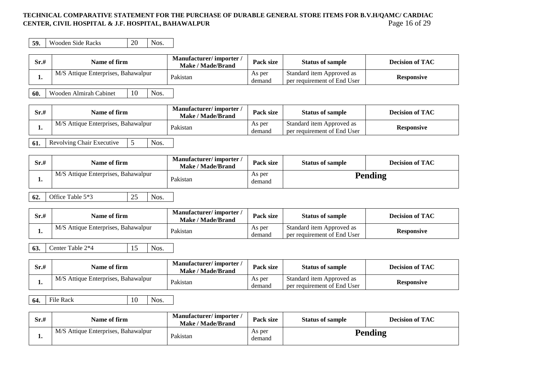### **TECHNICAL COMPARATIVE STATEMENT FOR THE PURCHASE OF DURABLE GENERAL STORE ITEMS FOR B.V.H/QAMC/ CARDIAC CENTER, CIVIL HOSPITAL & J.F. HOSPITAL, BAHAWALPUR** Page 16 of 29

**59.** Wooden Side Racks 20 Nos.

| Sr.# | Name of firm                        | Manufacturer/importer<br><b>Make / Made/Brand</b> | <b>Pack size</b> | <b>Status of sample</b>                                  | <b>Decision of TAC</b> |
|------|-------------------------------------|---------------------------------------------------|------------------|----------------------------------------------------------|------------------------|
|      | M/S Attique Enterprises, Bahawalpur | Pakistan                                          | As per<br>demand | Standard item Approved as<br>per requirement of End User | <b>Responsive</b>      |

**60.** Wooden Almirah Cabinet 10 Nos.

| Sr.# | Name of firm                        | Manufacturer/importer/<br>Make / Made/Brand | Pack size        | <b>Status of sample</b>                                  | <b>Decision of TAC</b> |
|------|-------------------------------------|---------------------------------------------|------------------|----------------------------------------------------------|------------------------|
|      | M/S Attique Enterprises, Bahawalpur | Pakistan                                    | As per<br>demand | Standard item Approved as<br>per requirement of End User | <b>Responsive</b>      |

**61.** Revolving Chair Executive 5 Nos.

| Sr.# | Name of firm                        | Manufacturer/importer<br><b>Make / Made/Brand</b> | Pack size        | <b>Status of sample</b> | <b>Decision of TAC</b> |
|------|-------------------------------------|---------------------------------------------------|------------------|-------------------------|------------------------|
|      | M/S Attique Enterprises, Bahawalpur | Pakistan                                          | As per<br>demand |                         | Pending                |

# **62.** Office Table 5<sup>\*3</sup> 25 Nos.

| Sr.# | Name of firm                        | Manufacturer/importer<br>Make / Made/Brand | <b>Pack size</b> | <b>Status of sample</b>                                  | <b>Decision of TAC</b> |
|------|-------------------------------------|--------------------------------------------|------------------|----------------------------------------------------------|------------------------|
|      | M/S Attique Enterprises, Bahawalpur | Pakistan                                   | As per<br>demand | Standard item Approved as<br>per requirement of End User | <b>Responsive</b>      |

**63.** Center Table 2\*4 15 Nos.

| Sr.# | Name of firm                               | Manufacturer/importer<br>Make / Made/Brand | <b>Pack size</b> | <b>Status of sample</b>                                  | <b>Decision of TAC</b> |
|------|--------------------------------------------|--------------------------------------------|------------------|----------------------------------------------------------|------------------------|
|      | $\mid$ M/S Attique Enterprises, Bahawalpur | Pakistan                                   | As per<br>demand | Standard item Approved as<br>per requirement of End User | <b>Responsive</b>      |

**64.** File Rack 10 Nos.

| Sr.# | Name of firm                        | Manufacturer/importer/<br>Make / Made/Brand | <b>Pack size</b> | <b>Status of sample</b> | <b>Decision of TAC</b> |
|------|-------------------------------------|---------------------------------------------|------------------|-------------------------|------------------------|
| . .  | M/S Attique Enterprises, Bahawalpur | Pakistan                                    | As per<br>demand |                         | Pending                |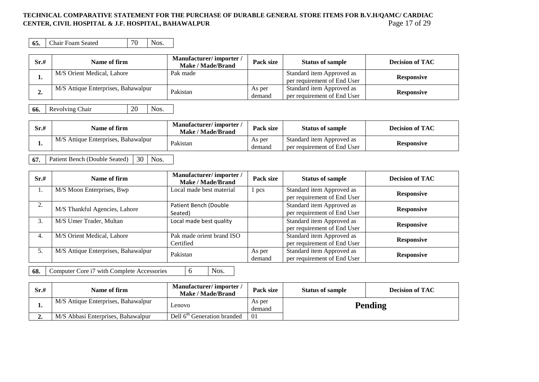### **TECHNICAL COMPARATIVE STATEMENT FOR THE PURCHASE OF DURABLE GENERAL STORE ITEMS FOR B.V.H/QAMC/ CARDIAC CENTER, CIVIL HOSPITAL & J.F. HOSPITAL, BAHAWALPUR** Page 17 of 29

**65.** Chair Foam Seated 70 Nos.

| Sr.# | Name of firm                        | Manufacturer/importer/<br>Make / Made/Brand | Pack size        | <b>Status of sample</b>                                  | <b>Decision of TAC</b> |
|------|-------------------------------------|---------------------------------------------|------------------|----------------------------------------------------------|------------------------|
| ı.   | M/S Orient Medical, Lahore          | Pak made                                    |                  | Standard item Approved as<br>per requirement of End User | <b>Responsive</b>      |
|      | M/S Attique Enterprises, Bahawalpur | Pakistan                                    | As per<br>demand | Standard item Approved as<br>per requirement of End User | <b>Responsive</b>      |

**66.** Revolving Chair 20 Nos.

| Sr.# | Name of firm                        | Manufacturer/importer<br>Make / Made/Brand | <b>Pack size</b> | <b>Status of sample</b>                                  | <b>Decision of TAC</b> |
|------|-------------------------------------|--------------------------------------------|------------------|----------------------------------------------------------|------------------------|
|      | M/S Attique Enterprises, Bahawalpur | Pakistan                                   | As per<br>demano | Standard item Approved as<br>per requirement of End User | <b>Responsive</b>      |

**67.** Patient Bench (Double Seated) 30 Nos.

| Sr.#           | Name of firm                        | Manufacturer/importer/<br><b>Make / Made/Brand</b> | Pack size        | <b>Status of sample</b>                                  | <b>Decision of TAC</b> |
|----------------|-------------------------------------|----------------------------------------------------|------------------|----------------------------------------------------------|------------------------|
| 1.             | M/S Moon Enterprises, Bwp           | Local made best material                           | 1 pcs            | Standard item Approved as<br>per requirement of End User | <b>Responsive</b>      |
| $\gamma$<br>۷. | M/S Thankful Agencies, Lahore       | Patient Bench (Double<br>Seated)                   |                  | Standard item Approved as<br>per requirement of End User | <b>Responsive</b>      |
| 3.             | M/S Umer Trader, Multan             | Local made best quality                            |                  | Standard item Approved as<br>per requirement of End User | <b>Responsive</b>      |
| 4.             | M/S Orient Medical, Lahore          | Pak made orient brand ISO<br>Certified             |                  | Standard item Approved as<br>per requirement of End User | <b>Responsive</b>      |
| 5.             | M/S Attique Enterprises, Bahawalpur | Pakistan                                           | As per<br>demand | Standard item Approved as<br>per requirement of End User | <b>Responsive</b>      |

**68.** Computer Core i7 with Complete Accessories 6 Nos.

| Sr.# | Name of firm                        | Manufacturer/importer/<br>Make / Made/Brand | Pack size        | <b>Status of sample</b> | <b>Decision of TAC</b> |
|------|-------------------------------------|---------------------------------------------|------------------|-------------------------|------------------------|
|      | M/S Attique Enterprises, Bahawalpur | Lenovo                                      | As per<br>demand |                         | <b>Pending</b>         |
|      | M/S Abbasi Enterprises, Bahawalpur  | Dell 6 <sup>th</sup> Generation branded     | $\overline{0}$   |                         |                        |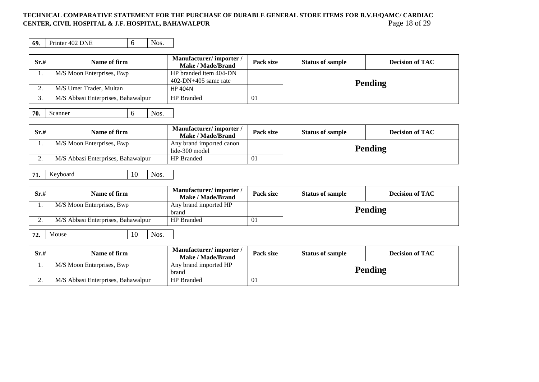## TECHNICAL COMPARATIVE STATEMENT FOR THE PURCHASE OF DURABLE GENERAL STORE ITEMS FOR B.V.H/QAMC/ CARDIAC<br>CENTER, CIVIL HOSPITAL & J.F. HOSPITAL, BAHAWALPUR<br>Page 18 of 29 **CENTER, CIVIL HOSPITAL & J.F. HOSPITAL, BAHAWALPUR**

**69.** Printer 402 DNE 6 Nos.

| Sr.# | Name of firm                       | Manufacturer/importer/<br>Make / Made/Brand        | Pack size | <b>Status of sample</b> | <b>Decision of TAC</b> |  |  |
|------|------------------------------------|----------------------------------------------------|-----------|-------------------------|------------------------|--|--|
| 1.   | M/S Moon Enterprises, Bwp          | HP branded item 404-DN                             |           |                         |                        |  |  |
|      |                                    | $402-DN+405$ same rate                             |           |                         | <b>Pending</b>         |  |  |
| 2.   | M/S Umer Trader, Multan            | <b>HP 404N</b>                                     |           |                         |                        |  |  |
| 3.   | M/S Abbasi Enterprises, Bahawalpur | HP Branded                                         | $\Omega$  |                         |                        |  |  |
| 70.  | Nos.<br>Scanner<br>6               |                                                    |           |                         |                        |  |  |
| Sr.# | Name of firm                       | Manufacturer/importer/<br><b>Make / Made/Brand</b> | Pack size | <b>Status of sample</b> | <b>Decision of TAC</b> |  |  |
| 1.   | M/S Moon Enterprises, Bwp          | Any brand imported canon<br>lide-300 model         |           | <b>Pending</b>          |                        |  |  |
| 2.   | M/S Abbasi Enterprises, Bahawalpur | <b>HP</b> Branded                                  | 01        |                         |                        |  |  |
| 71.  | Nos.<br>10<br>Keyboard             |                                                    |           |                         |                        |  |  |
| Sr.# | Name of firm                       | Manufacturer/importer/<br>Make / Made/Brand        | Pack size | <b>Status of sample</b> | <b>Decision of TAC</b> |  |  |

| $- - - -$                |                                    | <b>Make / Made/Brand</b>       | --------- |                | _ _ _ _ _ _ _ _ _ _ _ _ _ |
|--------------------------|------------------------------------|--------------------------------|-----------|----------------|---------------------------|
| . .                      | M/S Moon Enterprises, Bwp          | Any brand imported HP<br>brand |           | <b>Pending</b> |                           |
| $\overline{\phantom{a}}$ | M/S Abbasi Enterprises, Bahawalpur | <b>HP</b> Branded              | 01        |                |                           |

|  | $72.$ Mouse | $10$ Nos. |  |
|--|-------------|-----------|--|
|--|-------------|-----------|--|

| Sr.# | Name of firm                       | Manufacturer/importer/<br>Make / Made/Brand | Pack size | <b>Status of sample</b> | <b>Decision of TAC</b> |
|------|------------------------------------|---------------------------------------------|-----------|-------------------------|------------------------|
|      | M/S Moon Enterprises, Bwp          | Any brand imported HP<br>brand              |           | <b>Pending</b>          |                        |
|      | M/S Abbasi Enterprises, Bahawalpur | <b>HP</b> Branded                           |           |                         |                        |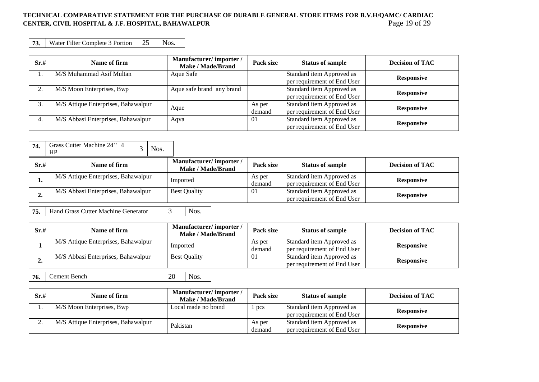## **TECHNICAL COMPARATIVE STATEMENT FOR THE PURCHASE OF DURABLE GENERAL STORE ITEMS FOR B.V.H/QAMC/ CARDIAC CENTER, CIVIL HOSPITAL & J.F. HOSPITAL, BAHAWALPUR** Page 19 of 29

**73.** Water Filter Complete 3 Portion 25 Nos.

| Sr.#    | Name of firm                        | Manufacturer/importer/<br>Make / Made/Brand | Pack size        | <b>Status of sample</b>                                  | <b>Decision of TAC</b> |
|---------|-------------------------------------|---------------------------------------------|------------------|----------------------------------------------------------|------------------------|
|         | M/S Muhammad Asif Multan            | Aque Safe                                   |                  | Standard item Approved as<br>per requirement of End User | <b>Responsive</b>      |
| ◠<br>ـ. | M/S Moon Enterprises, Bwp           | Aque safe brand any brand                   |                  | Standard item Approved as<br>per requirement of End User | <b>Responsive</b>      |
|         | M/S Attique Enterprises, Bahawalpur | Aque                                        | As per<br>demand | Standard item Approved as<br>per requirement of End User | <b>Responsive</b>      |
| 4.      | M/S Abbasi Enterprises, Bahawalpur  | Aqva                                        | $\Omega$         | Standard item Approved as<br>per requirement of End User | <b>Responsive</b>      |

| 74.  | Grass Cutter Machine 24" 4<br>Nos.<br>HP |                                             |                  |                                                          |                        |
|------|------------------------------------------|---------------------------------------------|------------------|----------------------------------------------------------|------------------------|
| Sr.# | Name of firm                             | Manufacturer/importer/<br>Make / Made/Brand | Pack size        | <b>Status of sample</b>                                  | <b>Decision of TAC</b> |
| ı.   | M/S Attique Enterprises, Bahawalpur      | Imported                                    | As per<br>demand | Standard item Approved as<br>per requirement of End User | <b>Responsive</b>      |
| ∸∙   | M/S Abbasi Enterprises, Bahawalpur       | <b>Best Quality</b>                         | -01              | Standard item Approved as<br>per requirement of End User | <b>Responsive</b>      |

**75.** Hand Grass Cutter Machine Generator 3 Nos.

| Sr.# | Name of firm                        | Manufacturer/importer/<br>Make / Made/Brand | Pack size        | <b>Status of sample</b>                                  | <b>Decision of TAC</b> |
|------|-------------------------------------|---------------------------------------------|------------------|----------------------------------------------------------|------------------------|
|      | M/S Attique Enterprises, Bahawalpur | Imported                                    | As per<br>demand | Standard item Approved as<br>per requirement of End User | <b>Responsive</b>      |
|      | M/S Abbasi Enterprises, Bahawalpur  | <b>Best Quality</b>                         | 01               | Standard item Approved as<br>per requirement of End User | <b>Responsive</b>      |

**76.** Cement Bench 20 Nos.

| Sr.# | Name of firm                        | Manufacturer/importer/<br><b>Make / Made/Brand</b> | Pack size        | <b>Status of sample</b>                                  | <b>Decision of TAC</b> |
|------|-------------------------------------|----------------------------------------------------|------------------|----------------------------------------------------------|------------------------|
|      | M/S Moon Enterprises, Bwp           | Local made no brand                                | pcs              | Standard item Approved as<br>per requirement of End User | <b>Responsive</b>      |
| ,.   | M/S Attique Enterprises, Bahawalpur | Pakistan                                           | As per<br>demand | Standard item Approved as<br>per requirement of End User | <b>Responsive</b>      |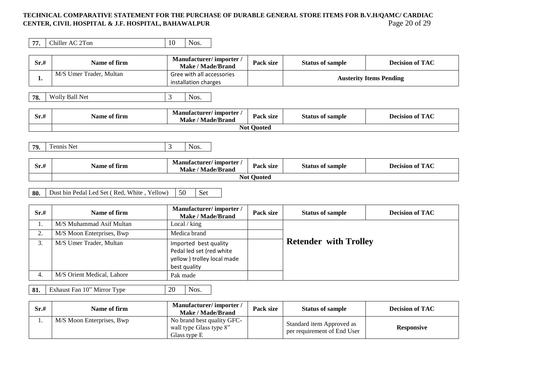## TECHNICAL COMPARATIVE STATEMENT FOR THE PURCHASE OF DURABLE GENERAL STORE ITEMS FOR B.V.H/QAMC/ CARDIAC<br>CENTER, CIVIL HOSPITAL & J.F. HOSPITAL, BAHAWALPUR<br>Page 20 of 29 **CENTER, CIVIL HOSPITAL & J.F. HOSPITAL, BAHAWALPUR**

| 77.  | Chiller AC 2Ton                                       | 10<br>Nos.                                                                                       |                   |                              |                                |
|------|-------------------------------------------------------|--------------------------------------------------------------------------------------------------|-------------------|------------------------------|--------------------------------|
| Sr.# | Name of firm                                          | Manufacturer/importer/<br><b>Make / Made/Brand</b>                                               | Pack size         | <b>Status of sample</b>      | <b>Decision of TAC</b>         |
| 1.   | M/S Umer Trader, Multan                               | Gree with all accessories<br>installation charges                                                |                   |                              | <b>Austerity Items Pending</b> |
| 78.  | Wolly Ball Net                                        | 3<br>Nos.                                                                                        |                   |                              |                                |
| Sr.# | Name of firm                                          | Manufacturer/importer/<br><b>Make / Made/Brand</b>                                               | Pack size         | <b>Status of sample</b>      | <b>Decision of TAC</b>         |
|      |                                                       |                                                                                                  | <b>Not Quoted</b> |                              |                                |
|      |                                                       |                                                                                                  |                   |                              |                                |
| 79.  | <b>Tennis Net</b>                                     | 3<br>Nos.                                                                                        |                   |                              |                                |
|      |                                                       |                                                                                                  |                   |                              |                                |
| Sr.# | Name of firm                                          | Manufacturer/importer/<br><b>Make / Made/Brand</b>                                               | Pack size         | <b>Status of sample</b>      | <b>Decision of TAC</b>         |
|      |                                                       |                                                                                                  | <b>Not Quoted</b> |                              |                                |
|      |                                                       |                                                                                                  |                   |                              |                                |
| 80.  | Dust bin Pedal Led Set (Red, White, Yellow)           | 50<br>Set                                                                                        |                   |                              |                                |
| Sr.# | Name of firm                                          | Manufacturer/importer/<br><b>Make / Made/Brand</b>                                               | Pack size         | <b>Status of sample</b>      | <b>Decision of TAC</b>         |
| 1.   | M/S Muhammad Asif Multan                              | Local / king                                                                                     |                   |                              |                                |
| 2.   | M/S Moon Enterprises, Bwp                             | Medica brand                                                                                     |                   |                              |                                |
| 3.   | M/S Umer Trader, Multan<br>M/S Orient Medical, Lahore | Imported best quality<br>Pedal led set (red white<br>yellow ) trolley local made<br>best quality |                   | <b>Retender with Trolley</b> |                                |

**81.** Exhaust Fan 10" Mirror Type 20 Nos.

| Sr.# | Name of firm              | Manufacturer/importer/<br>Make / Made/Brand                           | Pack size | <b>Status of sample</b>                                  | <b>Decision of TAC</b> |
|------|---------------------------|-----------------------------------------------------------------------|-----------|----------------------------------------------------------|------------------------|
| . .  | M/S Moon Enterprises, Bwp | No brand best quality GFC-<br>wall type Glass type 8"<br>Glass type E |           | Standard item Approved as<br>per requirement of End User | <b>Responsive</b>      |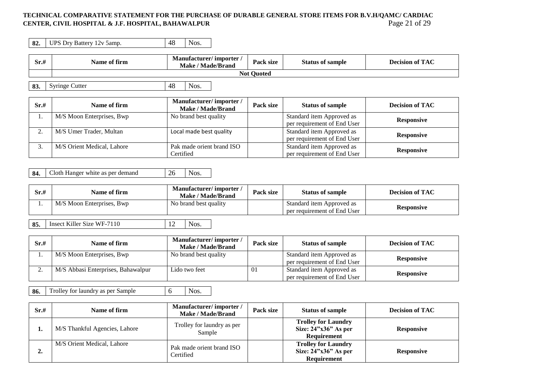## TECHNICAL COMPARATIVE STATEMENT FOR THE PURCHASE OF DURABLE GENERAL STORE ITEMS FOR B.V.H/QAMC/ CARDIAC<br>CENTER, CIVIL HOSPITAL & J.F. HOSPITAL, BAHAWALPUR **CENTER, CIVIL HOSPITAL & J.F. HOSPITAL, BAHAWALPUR**

| 82. | UPS Dry Battery 12v 5amp. | 40 | NOS. |
|-----|---------------------------|----|------|
|     |                           |    |      |

| Sr.# | Name of firm      | Manufacturer/importer/<br><b>Make / Made/Brand</b>     | Pack size | <b>Status of sample</b> | <b>Decision of TAC</b> |  |
|------|-------------------|--------------------------------------------------------|-----------|-------------------------|------------------------|--|
|      | <b>Not Quoted</b> |                                                        |           |                         |                        |  |
|      |                   |                                                        |           |                         |                        |  |
| 83.  | Syringe Cutter    | 48<br>Nos.                                             |           |                         |                        |  |
|      |                   |                                                        |           |                         |                        |  |
|      |                   | --<br>$\overline{\phantom{a}}$<br>$\sim$ $\sim$ $\sim$ |           |                         |                        |  |

| Sr.# | Name of firm               | Manufacturer/importer/<br>Make / Made/Brand | Pack size | <b>Status of sample</b>     | <b>Decision of TAC</b> |
|------|----------------------------|---------------------------------------------|-----------|-----------------------------|------------------------|
|      | M/S Moon Enterprises, Bwp  | No brand best quality                       |           | Standard item Approved as   | <b>Responsive</b>      |
|      |                            |                                             |           | per requirement of End User |                        |
|      | M/S Umer Trader, Multan    | Local made best quality                     |           | Standard item Approved as   |                        |
|      |                            |                                             |           | per requirement of End User | <b>Responsive</b>      |
|      | M/S Orient Medical, Lahore | Pak made orient brand ISO                   |           | Standard item Approved as   |                        |
|      |                            | Certified                                   |           | per requirement of End User | <b>Responsive</b>      |

**84.** Cloth Hanger white as per demand 26 Nos.

| Sr.# | Name of firm              | Manufacturer/importer<br>Make / Made/Brand | Pack size | <b>Status of sample</b>                                  | <b>Decision of TAC</b> |
|------|---------------------------|--------------------------------------------|-----------|----------------------------------------------------------|------------------------|
|      | M/S Moon Enterprises, Bwp | No brand best quality                      |           | Standard item Approved as<br>per requirement of End User | <b>Responsive</b>      |

**85.** Insect Killer Size WF-7110 12 Nos.

| Sr.# | Name of firm                       | Manufacturer/importer/<br><b>Make / Made/Brand</b> | Pack size | <b>Status of sample</b>                                  | <b>Decision of TAC</b> |
|------|------------------------------------|----------------------------------------------------|-----------|----------------------------------------------------------|------------------------|
|      | M/S Moon Enterprises, Bwp          | No brand best quality                              |           | Standard item Approved as<br>per requirement of End User | <b>Responsive</b>      |
| ، ت  | M/S Abbasi Enterprises, Bahawalpur | Lido two feet                                      | 01        | Standard item Approved as<br>per requirement of End User | <b>Responsive</b>      |

**86.** Trolley for laundry as per Sample 6 Nos.

| Sr.# | Name of firm                  | Manufacturer/importer/<br><b>Make / Made/Brand</b> | Pack size | <b>Status of sample</b>                                                    | <b>Decision of TAC</b> |
|------|-------------------------------|----------------------------------------------------|-----------|----------------------------------------------------------------------------|------------------------|
|      | M/S Thankful Agencies, Lahore | Trolley for laundry as per<br>Sample               |           | <b>Trolley for Laundry</b><br>Size: $24"x36"$ As per<br><b>Requirement</b> | <b>Responsive</b>      |
| ∠.   | M/S Orient Medical, Lahore    | Pak made orient brand ISO<br>Certified             |           | <b>Trolley for Laundry</b><br>Size: $24"x36"$ As per<br>Requirement        | <b>Responsive</b>      |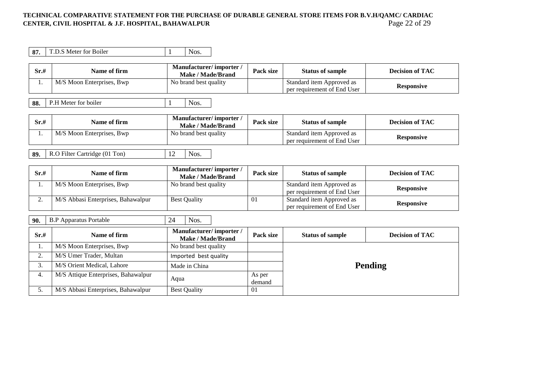# TECHNICAL COMPARATIVE STATEMENT FOR THE PURCHASE OF DURABLE GENERAL STORE ITEMS FOR B.V.H/QAMC/ CARDIAC<br>CENTER, CIVIL HOSPITAL & J.F. HOSPITAL, BAHAWALPUR<br>Page 22 of 29 **CENTER, CIVIL HOSPITAL & J.F. HOSPITAL, BAHAWALPUR**

| 87.  | T.D.S Meter for Boiler    | Nos.                                        |           |                                                          |                        |
|------|---------------------------|---------------------------------------------|-----------|----------------------------------------------------------|------------------------|
| Sr.# | Name of firm              | Manufacturer/importer/<br>Make / Made/Brand | Pack size | <b>Status of sample</b>                                  | <b>Decision of TAC</b> |
|      | M/S Moon Enterprises, Bwp | No brand best quality                       |           | Standard item Approved as<br>per requirement of End User | <b>Responsive</b>      |
| 88.  | P.H Meter for boiler      | Nos.                                        |           |                                                          |                        |

| Sr.# | Name of firm              | Manufacturer/importer<br>Make / Made/Brand | <b>Pack size</b> | <b>Status of sample</b>                                  | <b>Decision of TAC</b> |
|------|---------------------------|--------------------------------------------|------------------|----------------------------------------------------------|------------------------|
|      | M/S Moon Enterprises, Bwp | No brand best quality                      |                  | Standard item Approved as<br>per requirement of End User | <b>Responsive</b>      |

Е

| Sr.# | Name of firm                       | Manufacturer/importer/<br>Make / Made/Brand | Pack size | <b>Status of sample</b>                                  | <b>Decision of TAC</b> |
|------|------------------------------------|---------------------------------------------|-----------|----------------------------------------------------------|------------------------|
|      | M/S Moon Enterprises, Bwp          | No brand best quality                       |           | Standard item Approved as<br>per requirement of End User | <b>Responsive</b>      |
| ـ.   | M/S Abbasi Enterprises, Bahawalpur | <b>Best Quality</b>                         | 01        | Standard item Approved as<br>per requirement of End User | <b>Responsive</b>      |

| 90.     | <b>B.P Apparatus Portable</b>       | Nos.<br>24                                  |                  |                         |                        |  |
|---------|-------------------------------------|---------------------------------------------|------------------|-------------------------|------------------------|--|
| Sr.#    | Name of firm                        | Manufacturer/importer/<br>Make / Made/Brand | Pack size        | <b>Status of sample</b> | <b>Decision of TAC</b> |  |
| ı.      | M/S Moon Enterprises, Bwp           | No brand best quality                       |                  |                         |                        |  |
| ◠<br>۷. | M/S Umer Trader, Multan             | Imported best quality                       |                  | <b>Pending</b>          |                        |  |
| 3.      | M/S Orient Medical, Lahore          | Made in China                               |                  |                         |                        |  |
| 4.      | M/S Attique Enterprises, Bahawalpur | Aqua                                        | As per<br>demand |                         |                        |  |
| 5.      | M/S Abbasi Enterprises, Bahawalpur  | <b>Best Quality</b>                         | -01              |                         |                        |  |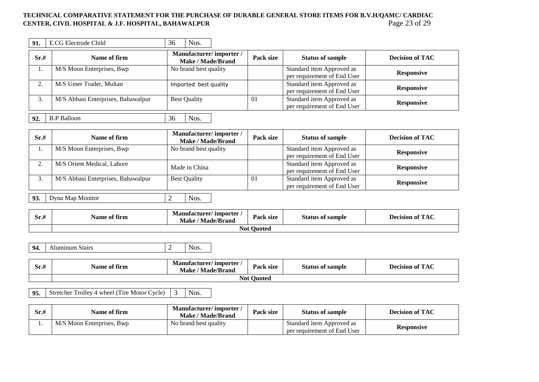### TECHNICAL COMPARATIVE STATEMENT FOR THE PURCHASE OF DURABLE GENERAL STORE ITEMS FOR B.V.H/QAMC/ CARDIAC<br>CENTER, CIVIL HOSPITAL & J.F. HOSPITAL, BAHAWALPUR<br>Page 23 of 29 **CENTER, CIVIL HOSPITAL & J.F. HOSPITAL, BAHAWALPUR**

| 91.  | E.CG Electrode Child               | 36 | Nos.                                        |  |           |                             |                        |
|------|------------------------------------|----|---------------------------------------------|--|-----------|-----------------------------|------------------------|
| Sr.# | Name of firm                       |    | Manufacturer/importer/<br>Make / Made/Brand |  | Pack size | <b>Status of sample</b>     | <b>Decision of TAC</b> |
| .,   | M/S Moon Enterprises, Bwp          |    | No brand best quality                       |  |           | Standard item Approved as   | <b>Responsive</b>      |
|      |                                    |    |                                             |  |           | per requirement of End User |                        |
|      | M/S Umer Trader, Multan            |    | Imported best quality                       |  |           | Standard item Approved as   | <b>Responsive</b>      |
|      |                                    |    |                                             |  |           | per requirement of End User |                        |
| 3.   | M/S Abbasi Enterprises, Bahawalpur |    | <b>Best Quality</b>                         |  | 01        | Standard item Approved as   | <b>Responsive</b>      |
|      |                                    |    |                                             |  |           | per requirement of End User |                        |
| 92.  | <b>B.P Balloon</b>                 | 36 | Nos.                                        |  |           |                             |                        |

| Sr.# | Name of firm                       | Manufacturer/importer/<br>Make / Made/Brand | Pack size | <b>Status of sample</b>                                  | <b>Decision of TAC</b> |
|------|------------------------------------|---------------------------------------------|-----------|----------------------------------------------------------|------------------------|
|      | M/S Moon Enterprises, Bwp          | No brand best quality                       |           | Standard item Approved as<br>per requirement of End User | <b>Responsive</b>      |
|      | M/S Orient Medical, Lahore         | Made in China                               |           | Standard item Approved as<br>per requirement of End User | <b>Responsive</b>      |
|      | M/S Abbasi Enterprises, Bahawalpur | <b>Best Quality</b>                         | 01        | Standard item Approved as<br>per requirement of End User | <b>Responsive</b>      |
| 93.  | Dyna Map Monitor                   | Nos.                                        |           |                                                          |                        |

| <br>Sr.# | <b>Name of firm</b> | Manufacturer/ importer<br>' Made/Brand<br>Make | <b>Pack size</b> | <b>Status of sample</b> | of $\bf TAC$<br><b>Decision of</b> |  |  |
|----------|---------------------|------------------------------------------------|------------------|-------------------------|------------------------------------|--|--|
|          | <b>Not Quoted</b>   |                                                |                  |                         |                                    |  |  |

| 94.<br>Aluminum Stairs<br>Nos. |
|--------------------------------|
|--------------------------------|

| Sr.# | -04<br>Name of firm | / importer<br>Manufacturer/<br>Make<br><b>Made/Brand</b> | <b>Pack size</b> | <b>Status of sample</b> | $\rho$ $\pi$<br><b>A</b><br>Decision of<br>$\blacksquare$ |  |
|------|---------------------|----------------------------------------------------------|------------------|-------------------------|-----------------------------------------------------------|--|
|      | --<br>Not<br>Ouoted |                                                          |                  |                         |                                                           |  |

**95.** Stretcher Trolley 4 wheel (Tire Motor Cycle) 3 Nos.

| Sr.# | Name of firm              | Manufacturer/importer<br>Make / Made/Brand | Pack size | <b>Status of sample</b>                                  | <b>Decision of TAC</b> |
|------|---------------------------|--------------------------------------------|-----------|----------------------------------------------------------|------------------------|
|      | M/S Moon Enterprises, Bwp | No brand best quality                      |           | Standard item Approved as<br>per requirement of End User | Responsive             |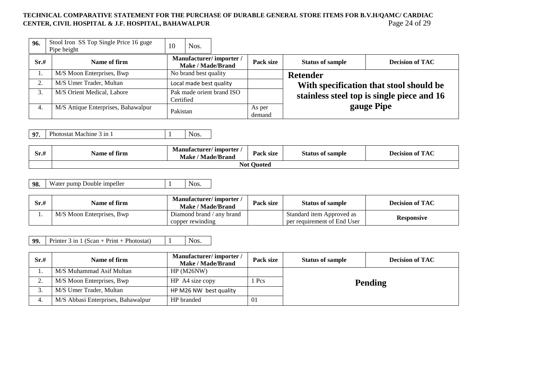### TECHNICAL COMPARATIVE STATEMENT FOR THE PURCHASE OF DURABLE GENERAL STORE ITEMS FOR B.V.H/QAMC/ CARDIAC<br>CENTER, CIVIL HOSPITAL & J.F. HOSPITAL, BAHAWALPUR<br>Page 24 of 29 **CENTER, CIVIL HOSPITAL & J.F. HOSPITAL, BAHAWALPUR**

| 96.  | Stool Iron SS Top Single Price 16 guge<br>Pipe height | 10                                          | Nos.                  |                           |                         |                                            |            |
|------|-------------------------------------------------------|---------------------------------------------|-----------------------|---------------------------|-------------------------|--------------------------------------------|------------|
| Sr.# | Name of firm                                          | Manufacturer/importer/<br>Make / Made/Brand |                       | Pack size                 | <b>Status of sample</b> | <b>Decision of TAC</b>                     |            |
|      | M/S Moon Enterprises, Bwp                             |                                             | No brand best quality |                           |                         | <b>Retender</b>                            |            |
| 2.   | M/S Umer Trader, Multan                               | Local made best quality                     |                       |                           |                         | With specification that stool should be    |            |
| 3.   | M/S Orient Medical, Lahore                            | Certified                                   |                       | Pak made orient brand ISO |                         | stainless steel top is single piece and 16 |            |
| 4.   | M/S Attique Enterprises, Bahawalpur                   | Pakistan                                    |                       |                           | As per<br>demand        |                                            | gauge Pipe |

**97.** Photostat Machine 3 in 1 1 Nos.

| Sr.H | - -<br>Name of firm | / importer<br><b>Manufacturer/</b><br><b>Made/Brand</b><br>Make | <b>Pack size</b> | <b>Status</b><br>s of sample | P T A<br><b>Decision of</b><br>TAC |  |
|------|---------------------|-----------------------------------------------------------------|------------------|------------------------------|------------------------------------|--|
|      | Not Ouoted          |                                                                 |                  |                              |                                    |  |

**98.** Water pump Double impeller  $\begin{array}{|c|c|c|c|c|} \hline 1 & 0 & \text{Nos.} \ \hline \end{array}$ 

| Sr.# | Name of firm              | Manufacturer/importer<br>Make / Made/Brand    | Pack size | <b>Status of sample</b>                                  | <b>Decision of TAC</b> |
|------|---------------------------|-----------------------------------------------|-----------|----------------------------------------------------------|------------------------|
|      | M/S Moon Enterprises, Bwp | Diamond brand / any brand<br>copper rewinding |           | Standard item Approved as<br>per requirement of End User | Responsive             |

**99.** Printer 3 in 1 (Scan + Print + Photostat)  $1$  Nos.

| Sr.# | Name of firm                       | Manufacturer/importer/<br><b>Make / Made/Brand</b> | Pack size | <b>Status of sample</b> | <b>Decision of TAC</b> |  |
|------|------------------------------------|----------------------------------------------------|-----------|-------------------------|------------------------|--|
|      | M/S Muhammad Asif Multan           | HP(M26NW)                                          |           |                         |                        |  |
| ٠.   | M/S Moon Enterprises, Bwp          | HP A4 size copy                                    | Pcs       | <b>Pending</b>          |                        |  |
| J.   | M/S Umer Trader, Multan            | HP M26 NW best quality                             |           |                         |                        |  |
| 4.   | M/S Abbasi Enterprises, Bahawalpur | HP branded                                         | 01        |                         |                        |  |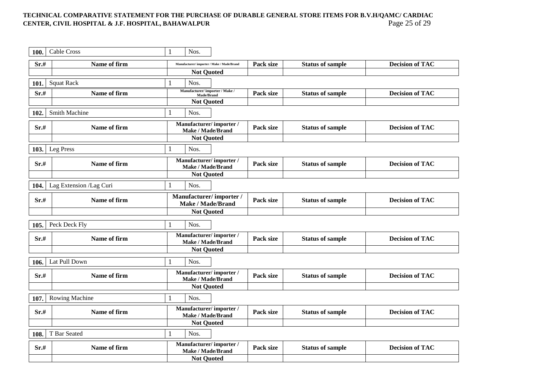## TECHNICAL COMPARATIVE STATEMENT FOR THE PURCHASE OF DURABLE GENERAL STORE ITEMS FOR B.V.H/QAMC/ CARDIAC<br>CENTER, CIVIL HOSPITAL & J.F. HOSPITAL, BAHAWALPUR<br>Page 25 of 29 **CENTER, CIVIL HOSPITAL & J.F. HOSPITAL, BAHAWALPUR**

| 100. | <b>Cable Cross</b>      | Nos.                                               |           |                         |                        |
|------|-------------------------|----------------------------------------------------|-----------|-------------------------|------------------------|
| Sr.# | Name of firm            | Manufacturer/importer / Make / Made/Brand          | Pack size | <b>Status of sample</b> | <b>Decision of TAC</b> |
|      |                         | <b>Not Quoted</b>                                  |           |                         |                        |
| 101  | <b>Squat Rack</b>       | Nos.                                               |           |                         |                        |
| Sr.# | Name of firm            | Manufacturer/importer / Make /<br>Made/Brand       | Pack size | <b>Status of sample</b> | <b>Decision of TAC</b> |
|      |                         | <b>Not Quoted</b>                                  |           |                         |                        |
| 102. | <b>Smith Machine</b>    | Nos.                                               |           |                         |                        |
| Sr.# | Name of firm            | Manufacturer/importer/<br><b>Make / Made/Brand</b> | Pack size | <b>Status of sample</b> | <b>Decision of TAC</b> |
|      |                         | <b>Not Quoted</b>                                  |           |                         |                        |
| 103. | Leg Press               | Nos.                                               |           |                         |                        |
| Sr.# | Name of firm            | Manufacturer/importer/<br>Make / Made/Brand        | Pack size | <b>Status of sample</b> | <b>Decision of TAC</b> |
|      |                         | <b>Not Quoted</b>                                  |           |                         |                        |
| 104. | Lag Extension /Lag Curi | Nos.                                               |           |                         |                        |
| Sr.# | Name of firm            | Manufacturer/importer/<br><b>Make / Made/Brand</b> | Pack size | <b>Status of sample</b> | <b>Decision of TAC</b> |
|      |                         | <b>Not Quoted</b>                                  |           |                         |                        |
| 105. | Peck Deck Fly           | Nos.                                               |           |                         |                        |
| Sr.# | Name of firm            | Manufacturer/importer/<br>Make / Made/Brand        | Pack size | <b>Status of sample</b> | <b>Decision of TAC</b> |
|      |                         | <b>Not Quoted</b>                                  |           |                         |                        |
| 106. | Lat Pull Down           | Nos.                                               |           |                         |                        |
| Sr.# | Name of firm            | Manufacturer/importer/<br>Make / Made/Brand        | Pack size | <b>Status of sample</b> | <b>Decision of TAC</b> |
|      |                         | <b>Not Quoted</b>                                  |           |                         |                        |
| 107. | <b>Rowing Machine</b>   | Nos.                                               |           |                         |                        |
| Sr.# | Name of firm            | Manufacturer/importer/<br>Make / Made/Brand        | Pack size | <b>Status of sample</b> | <b>Decision of TAC</b> |
|      |                         | <b>Not Quoted</b>                                  |           |                         |                        |
| 108. | T Bar Seated            | Nos.                                               |           |                         |                        |
| Sr.# | Name of firm            | Manufacturer/importer/<br>Make / Made/Brand        | Pack size | <b>Status of sample</b> | <b>Decision of TAC</b> |
|      |                         | <b>Not Quoted</b>                                  |           |                         |                        |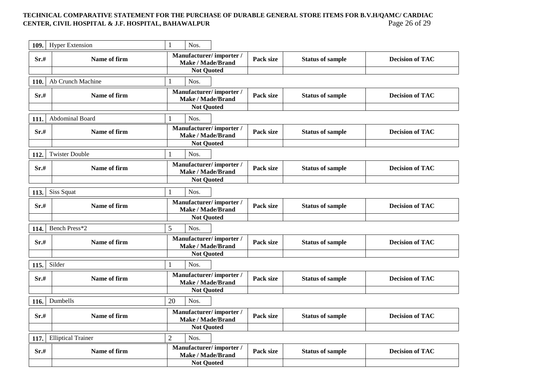## TECHNICAL COMPARATIVE STATEMENT FOR THE PURCHASE OF DURABLE GENERAL STORE ITEMS FOR B.V.H/QAMC/ CARDIAC<br>CENTER, CIVIL HOSPITAL & J.F. HOSPITAL, BAHAWALPUR<br>Page 26 of 29 **CENTER, CIVIL HOSPITAL & J.F. HOSPITAL, BAHAWALPUR**

| 109. | <b>Hyper Extension</b>    | $\mathbf{1}$<br>Nos.                               |           |                         |                        |
|------|---------------------------|----------------------------------------------------|-----------|-------------------------|------------------------|
| Sr.# | Name of firm              | Manufacturer/importer/<br>Make / Made/Brand        | Pack size | <b>Status of sample</b> | <b>Decision of TAC</b> |
|      |                           | <b>Not Quoted</b>                                  |           |                         |                        |
| 110. | Ab Crunch Machine         | Nos.                                               |           |                         |                        |
| Sr.# | Name of firm              | Manufacturer/importer/<br><b>Make / Made/Brand</b> | Pack size | <b>Status of sample</b> | <b>Decision of TAC</b> |
|      |                           | <b>Not Quoted</b>                                  |           |                         |                        |
| 111. | Abdominal Board           | Nos.                                               |           |                         |                        |
| Sr.# | Name of firm              | Manufacturer/importer/<br>Make / Made/Brand        | Pack size | <b>Status of sample</b> | <b>Decision of TAC</b> |
|      |                           | <b>Not Quoted</b>                                  |           |                         |                        |
| 112. | <b>Twister Double</b>     | Nos.                                               |           |                         |                        |
| Sr.# | Name of firm              | Manufacturer/importer/<br><b>Make / Made/Brand</b> | Pack size | <b>Status of sample</b> | <b>Decision of TAC</b> |
|      |                           | <b>Not Quoted</b>                                  |           |                         |                        |
| 113. | Siss Squat                | Nos.                                               |           |                         |                        |
| Sr.# | Name of firm              | Manufacturer/importer/<br>Make / Made/Brand        | Pack size | <b>Status of sample</b> | <b>Decision of TAC</b> |
|      |                           | <b>Not Quoted</b>                                  |           |                         |                        |
| 114. | Bench Press*2             | 5<br>Nos.                                          |           |                         |                        |
| Sr.# | Name of firm              | Manufacturer/importer/<br><b>Make / Made/Brand</b> | Pack size | <b>Status of sample</b> | <b>Decision of TAC</b> |
|      |                           | <b>Not Quoted</b>                                  |           |                         |                        |
| 115. | Silder                    | Nos.<br>1                                          |           |                         |                        |
| Sr.# | Name of firm              | Manufacturer/importer/<br><b>Make / Made/Brand</b> | Pack size | <b>Status of sample</b> | <b>Decision of TAC</b> |
|      |                           | <b>Not Quoted</b>                                  |           |                         |                        |
| 116. | Dumbells                  | 20<br>Nos.                                         |           |                         |                        |
| Sr.# | Name of firm              | Manufacturer/importer/<br>Make / Made/Brand        | Pack size | <b>Status of sample</b> | <b>Decision of TAC</b> |
|      |                           | <b>Not Quoted</b>                                  |           |                         |                        |
| 117. | <b>Elliptical Trainer</b> | $\overline{2}$<br>Nos.                             |           |                         |                        |
| Sr.# | Name of firm              | Manufacturer/importer/<br><b>Make / Made/Brand</b> | Pack size | <b>Status of sample</b> | <b>Decision of TAC</b> |
|      |                           | <b>Not Quoted</b>                                  |           |                         |                        |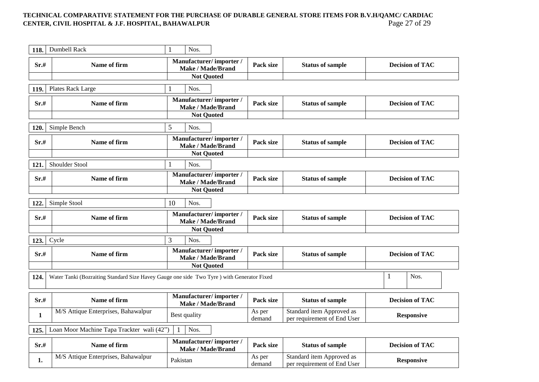### TECHNICAL COMPARATIVE STATEMENT FOR THE PURCHASE OF DURABLE GENERAL STORE ITEMS FOR B.V.H/QAMC/ CARDIAC<br>CENTER, CIVIL HOSPITAL & J.F. HOSPITAL, BAHAWALPUR<br>Page 27 of 29 **CENTER, CIVIL HOSPITAL & J.F. HOSPITAL, BAHAWALPUR**

| 118.         | Dumbell Rack                                                                              | $\mathbf{1}$<br>Nos.                               |                  |                                                          |                        |
|--------------|-------------------------------------------------------------------------------------------|----------------------------------------------------|------------------|----------------------------------------------------------|------------------------|
| Sr.#         | Name of firm                                                                              | Manufacturer/importer/<br><b>Make / Made/Brand</b> | Pack size        | <b>Status of sample</b>                                  | <b>Decision of TAC</b> |
|              |                                                                                           | <b>Not Quoted</b>                                  |                  |                                                          |                        |
| 119.         | Plates Rack Large                                                                         | $\mathbf{1}$<br>Nos.                               |                  |                                                          |                        |
| Sr.#         | Name of firm                                                                              | Manufacturer/importer/<br>Make / Made/Brand        | Pack size        | <b>Status of sample</b>                                  | <b>Decision of TAC</b> |
|              |                                                                                           | <b>Not Quoted</b>                                  |                  |                                                          |                        |
| 120.         | Simple Bench                                                                              | 5<br>Nos.                                          |                  |                                                          |                        |
| Sr.#         | Name of firm                                                                              | Manufacturer/importer/<br><b>Make / Made/Brand</b> | Pack size        | <b>Status of sample</b>                                  | <b>Decision of TAC</b> |
|              |                                                                                           | <b>Not Quoted</b>                                  |                  |                                                          |                        |
| 121.         | Shoulder Stool                                                                            | Nos.                                               |                  |                                                          |                        |
| Sr.#         | Name of firm                                                                              | Manufacturer/importer/<br><b>Make / Made/Brand</b> | Pack size        | <b>Status of sample</b>                                  | <b>Decision of TAC</b> |
|              |                                                                                           | <b>Not Quoted</b>                                  |                  |                                                          |                        |
| 122.         | Simple Stool                                                                              | 10<br>Nos.                                         |                  |                                                          |                        |
| Sr.#         | Name of firm                                                                              | Manufacturer/importer/<br><b>Make / Made/Brand</b> | Pack size        | <b>Status of sample</b>                                  | <b>Decision of TAC</b> |
|              |                                                                                           | <b>Not Quoted</b>                                  |                  |                                                          |                        |
| 123.         | Cycle                                                                                     | 3<br>Nos.                                          |                  |                                                          |                        |
| Sr.#         | Name of firm                                                                              | Manufacturer/importer/<br><b>Make / Made/Brand</b> | Pack size        | <b>Status of sample</b>                                  | <b>Decision of TAC</b> |
|              |                                                                                           | <b>Not Quoted</b>                                  |                  |                                                          |                        |
| 124.         | Water Tanki (Bozraiting Standard Size Havey Gauge one side Two Tyre) with Generator Fixed |                                                    |                  |                                                          | $\mathbf{1}$<br>Nos.   |
| Sr.#         | Name of firm                                                                              | Manufacturer/importer/<br><b>Make / Made/Brand</b> | Pack size        | <b>Status of sample</b>                                  | <b>Decision of TAC</b> |
| $\mathbf{1}$ | M/S Attique Enterprises, Bahawalpur                                                       | Best quality                                       | As per<br>demand | Standard item Approved as<br>per requirement of End User | <b>Responsive</b>      |
| 125.         | Loan Moor Machine Tapa Trackter wali (42")                                                | Nos.                                               |                  |                                                          |                        |
| Sr.#         | Name of firm                                                                              | Manufacturer/importer/<br><b>Make / Made/Brand</b> | Pack size        | <b>Status of sample</b>                                  | <b>Decision of TAC</b> |
| 1.           | M/S Attique Enterprises, Bahawalpur                                                       | Pakistan                                           | As per<br>demand | Standard item Approved as<br>per requirement of End User | <b>Responsive</b>      |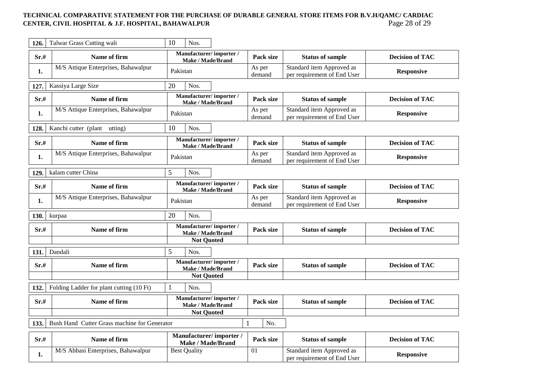## TECHNICAL COMPARATIVE STATEMENT FOR THE PURCHASE OF DURABLE GENERAL STORE ITEMS FOR B.V.H/QAMC/ CARDIAC<br>CENTER, CIVIL HOSPITAL & J.F. HOSPITAL, BAHAWALPUR<br>Page 28 of 29 **CENTER, CIVIL HOSPITAL & J.F. HOSPITAL, BAHAWALPUR**

| 126. | Talwar Grass Cutting wali                    | 10<br>Nos.                                                                |                  |                                                          |                        |
|------|----------------------------------------------|---------------------------------------------------------------------------|------------------|----------------------------------------------------------|------------------------|
| Sr.# | Name of firm                                 | Manufacturer/importer/<br>Make / Made/Brand                               | Pack size        | <b>Status of sample</b>                                  | <b>Decision of TAC</b> |
| 1.   | M/S Attique Enterprises, Bahawalpur          | Pakistan                                                                  | As per<br>demand | Standard item Approved as<br>per requirement of End User | <b>Responsive</b>      |
| 127. | Kassiya Large Size                           | 20<br>Nos.                                                                |                  |                                                          |                        |
| Sr.# | Name of firm                                 | Manufacturer/importer/<br><b>Make / Made/Brand</b>                        | Pack size        | <b>Status of sample</b>                                  | <b>Decision of TAC</b> |
| 1.   | M/S Attique Enterprises, Bahawalpur          | Pakistan                                                                  | As per<br>demand | Standard item Approved as<br>per requirement of End User | <b>Responsive</b>      |
| 128. | Kanchi cutter (plant utting)                 | 10<br>Nos.                                                                |                  |                                                          |                        |
| Sr.# | Name of firm                                 | Manufacturer/importer/<br>Make / Made/Brand                               | Pack size        | <b>Status of sample</b>                                  | <b>Decision of TAC</b> |
| 1.   | M/S Attique Enterprises, Bahawalpur          | Pakistan                                                                  | As per<br>demand | Standard item Approved as<br>per requirement of End User | <b>Responsive</b>      |
| 129. | kalam cutter China                           | 5<br>Nos.                                                                 |                  |                                                          |                        |
| Sr.# | Name of firm                                 | Manufacturer/importer/<br>Make / Made/Brand                               | Pack size        | <b>Status of sample</b>                                  | <b>Decision of TAC</b> |
| 1.   | M/S Attique Enterprises, Bahawalpur          | Pakistan                                                                  | As per<br>demand | Standard item Approved as<br>per requirement of End User | <b>Responsive</b>      |
| 130. | kurpaa                                       | 20<br>Nos.                                                                |                  |                                                          |                        |
| Sr.# | Name of firm                                 | Manufacturer/importer/<br>Make / Made/Brand                               | Pack size        | <b>Status of sample</b>                                  | <b>Decision of TAC</b> |
|      |                                              | <b>Not Quoted</b>                                                         |                  |                                                          |                        |
| 131. | Dandali                                      | 5<br>Nos.                                                                 |                  |                                                          |                        |
| Sr.# | Name of firm                                 | Manufacturer/importer/<br><b>Make / Made/Brand</b>                        | Pack size        | <b>Status of sample</b>                                  | <b>Decision of TAC</b> |
|      |                                              | <b>Not Quoted</b>                                                         |                  |                                                          |                        |
| 132. | Folding Ladder for plant cutting (10 Ft)     | Nos.                                                                      |                  |                                                          |                        |
| Sr.# | Name of firm                                 | Manufacturer/importer/<br>Make / Made/Brand                               | Pack size        | <b>Status of sample</b>                                  | <b>Decision of TAC</b> |
|      |                                              | <b>Not Quoted</b>                                                         |                  |                                                          |                        |
| 133. | Bush Hand Cutter Grass machine for Generator |                                                                           | No.              |                                                          |                        |
| Sr.# | Name of firm                                 | Manufacturer/importer/<br>$M_{\odot}$ by $/M_{\odot}$ de $D_{\rm mean}$ d | Pack size        | <b>Status of sample</b>                                  | <b>Decision of TAC</b> |

| Sr.# | <b>Name of firm</b>                | wanunacium en minor ici<br>/ Made/Brand<br>Make / | Pack size | <b>Status of sample</b>                                  | <b>Decision of TAC</b> |
|------|------------------------------------|---------------------------------------------------|-----------|----------------------------------------------------------|------------------------|
|      | M/S Abbasi Enterprises, Bahawalpur | <b>Best Quality</b>                               | -∪ ⊥      | Standard item Approved as<br>per requirement of End User | <b>Responsive</b>      |